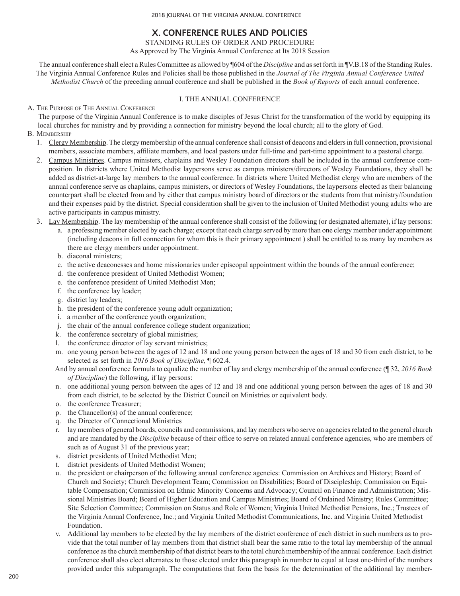# **X. CONFERENCE RULES AND POLICIES**

STANDING RULES OF ORDER AND PROCEDURE

As Approved by The Virginia Annual Conference at Its 2018 Session

The annual conference shall elect a Rules Committee as allowed by ¶604 of the *Discipline* and as set forth in ¶V.B.18 of the Standing Rules. The Virginia Annual Conference Rules and Policies shall be those published in the *Journal of The Virginia Annual Conference United Methodist Church* of the preceding annual conference and shall be published in the *Book of Reports* of each annual conference.

# I. THE ANNUAL CONFERENCE

A. The Purpose of The Annual Conference

The purpose of the Virginia Annual Conference is to make disciples of Jesus Christ for the transformation of the world by equipping its local churches for ministry and by providing a connection for ministry beyond the local church; all to the glory of God.

- B. Membership
	- 1. Clergy Membership. The clergy membership of the annual conference shall consist of deacons and elders in full connection, provisional members, associate members, affiliate members, and local pastors under full-time and part-time appointment to a pastoral charge.
	- 2. Campus Ministries. Campus ministers, chaplains and Wesley Foundation directors shall be included in the annual conference composition. In districts where United Methodist laypersons serve as campus ministers/directors of Wesley Foundations, they shall be added as district-at-large lay members to the annual conference. In districts where United Methodist clergy who are members of the annual conference serve as chaplains, campus ministers, or directors of Wesley Foundations, the laypersons elected as their balancing counterpart shall be elected from and by either that campus ministry board of directors or the students from that ministry/foundation and their expenses paid by the district. Special consideration shall be given to the inclusion of United Methodist young adults who are active participants in campus ministry.
	- 3. Lay Membership. The lay membership of the annual conference shall consist of the following (or designated alternate), if lay persons:
		- a. a professing member elected by each charge; except that each charge served by more than one clergy member under appointment (including deacons in full connection for whom this is their primary appointment ) shall be entitled to as many lay members as there are clergy members under appointment.
		- b. diaconal ministers;
		- c. the active deaconesses and home missionaries under episcopal appointment within the bounds of the annual conference;
		- d. the conference president of United Methodist Women;
		- e. the conference president of United Methodist Men;
		- f. the conference lay leader;
		- g. district lay leaders;
		- h. the president of the conference young adult organization;
		- i. a member of the conference youth organization;
		- j. the chair of the annual conference college student organization;
		- k. the conference secretary of global ministries;
		- l. the conference director of lay servant ministries;
		- m. one young person between the ages of 12 and 18 and one young person between the ages of 18 and 30 from each district, to be selected as set forth in *2016 Book of Discipline,* ¶ 602.4.
		- And by annual conference formula to equalize the number of lay and clergy membership of the annual conference (¶ 32, *2016 Book of Discipline*) the following, if lay persons:
		- n. one additional young person between the ages of 12 and 18 and one additional young person between the ages of 18 and 30 from each district, to be selected by the District Council on Ministries or equivalent body.
		- o. the conference Treasurer;
		- p. the Chancellor(s) of the annual conference;
		- q. the Director of Connectional Ministries
		- r. lay members of general boards, councils and commissions, and lay members who serve on agencies related to the general church and are mandated by the *Discipline* because of their office to serve on related annual conference agencies, who are members of such as of August 31 of the previous year;
		- s. district presidents of United Methodist Men;
		- t. district presidents of United Methodist Women;
		- u. the president or chairperson of the following annual conference agencies: Commission on Archives and History; Board of Church and Society; Church Development Team; Commission on Disabilities; Board of Discipleship; Commission on Equitable Compensation; Commission on Ethnic Minority Concerns and Advocacy; Council on Finance and Administration; Missional Ministries Board; Board of Higher Education and Campus Ministries; Board of Ordained Ministry; Rules Committee; Site Selection Committee; Commission on Status and Role of Women; Virginia United Methodist Pensions, Inc.; Trustees of the Virginia Annual Conference, Inc.; and Virginia United Methodist Communications, Inc. and Virginia United Methodist Foundation.
		- v. Additional lay members to be elected by the lay members of the district conference of each district in such numbers as to provide that the total number of lay members from that district shall bear the same ratio to the total lay membership of the annual conference as the church membership of that district bears to the total church membership of the annual conference. Each district conference shall also elect alternates to those elected under this paragraph in number to equal at least one-third of the numbers provided under this subparagraph. The computations that form the basis for the determination of the additional lay member-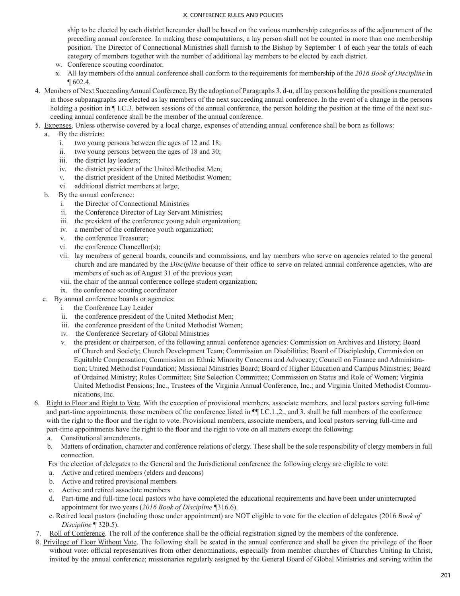ship to be elected by each district hereunder shall be based on the various membership categories as of the adjournment of the preceding annual conference. In making these computations, a lay person shall not be counted in more than one membership position. The Director of Connectional Ministries shall furnish to the Bishop by September 1 of each year the totals of each category of members together with the number of additional lay members to be elected by each district.

- w. Conference scouting coordinator.
- x. All lay members of the annual conference shall conform to the requirements for membership of the *2016 Book of Discipline* in ¶ 602.4.
- 4. Members of Next Succeeding Annual Conference. By the adoption of Paragraphs 3. d-u, all lay persons holding the positions enumerated in those subparagraphs are elected as lay members of the next succeeding annual conference. In the event of a change in the persons holding a position in  $\P$  I.C.3. between sessions of the annual conference, the person holding the position at the time of the next succeeding annual conference shall be the member of the annual conference.
- 5. Expenses. Unless otherwise covered by a local charge, expenses of attending annual conference shall be born as follows:

## a. By the districts:

- i. two young persons between the ages of 12 and 18;
- ii. two young persons between the ages of 18 and 30;
- iii. the district lay leaders;
- iv. the district president of the United Methodist Men;
- v. the district president of the United Methodist Women;
- vi. additional district members at large;
- b. By the annual conference:
	- i. the Director of Connectional Ministries
	- ii. the Conference Director of Lay Servant Ministries;
	- iii. the president of the conference young adult organization;
	- iv. a member of the conference youth organization;
	- v. the conference Treasurer;
	- vi. the conference Chancellor(s);
	- vii. lay members of general boards, councils and commissions, and lay members who serve on agencies related to the general church and are mandated by the *Discipline* because of their office to serve on related annual conference agencies, who are members of such as of August 31 of the previous year;
	- viii. the chair of the annual conference college student organization;
	- ix. the conference scouting coordinator
- c. By annual conference boards or agencies:
	- i. the Conference Lay Leader
	- ii. the conference president of the United Methodist Men;
	- iii. the conference president of the United Methodist Women;
	- iv. the Conference Secretary of Global Ministries
	- v. the president or chairperson, of the following annual conference agencies: Commission on Archives and History; Board of Church and Society; Church Development Team; Commission on Disabilities; Board of Discipleship, Commission on Equitable Compensation; Commission on Ethnic Minority Concerns and Advocacy; Council on Finance and Administration; United Methodist Foundation; Missional Ministries Board; Board of Higher Education and Campus Ministries; Board of Ordained Ministry; Rules Committee; Site Selection Committee; Commission on Status and Role of Women; Virginia United Methodist Pensions; Inc., Trustees of the Virginia Annual Conference, Inc.; and Virginia United Methodist Communications, Inc.
- 6. Right to Floor and Right to Vote. With the exception of provisional members, associate members, and local pastors serving full-time and part-time appointments, those members of the conference listed in ¶¶ I.C.1.,2., and 3. shall be full members of the conference with the right to the floor and the right to vote. Provisional members, associate members, and local pastors serving full-time and part-time appointments have the right to the floor and the right to vote on all matters except the following:
	- a. Constitutional amendments.
	- b. Matters of ordination, character and conference relations of clergy. These shall be the sole responsibility of clergy members in full connection.

For the election of delegates to the General and the Jurisdictional conference the following clergy are eligible to vote:

- a. Active and retired members (elders and deacons)
- b. Active and retired provisional members
- c. Active and retired associate members
- d. Part-time and full-time local pastors who have completed the educational requirements and have been under uninterrupted appointment for two years (*2016 Book of Discipline* ¶316.6).
- e. Retired local pastors (including those under appointment) are NOT eligible to vote for the election of delegates (2016 *Book of Discipline* ¶ 320.5).
- 7. Roll of Conference. The roll of the conference shall be the official registration signed by the members of the conference.
- 8. Privilege of Floor Without Vote. The following shall be seated in the annual conference and shall be given the privilege of the floor without vote: official representatives from other denominations, especially from member churches of Churches Uniting In Christ, invited by the annual conference; missionaries regularly assigned by the General Board of Global Ministries and serving within the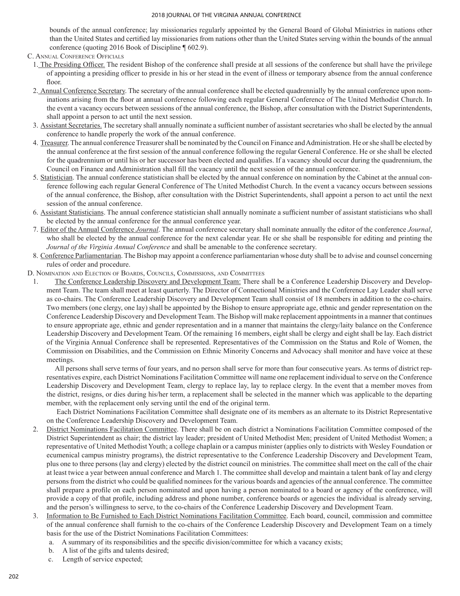bounds of the annual conference; lay missionaries regularly appointed by the General Board of Global Ministries in nations other than the United States and certified lay missionaries from nations other than the United States serving within the bounds of the annual conference (quoting 2016 Book of Discipline ¶ 602.9).

- C. Annual Conference Officials
	- 1. The Presiding Officer. The resident Bishop of the conference shall preside at all sessions of the conference but shall have the privilege of appointing a presiding officer to preside in his or her stead in the event of illness or temporary absence from the annual conference floor.
	- 2. Annual Conference Secretary. The secretary of the annual conference shall be elected quadrennially by the annual conference upon nominations arising from the floor at annual conference following each regular General Conference of The United Methodist Church. In the event a vacancy occurs between sessions of the annual conference, the Bishop, after consultation with the District Superintendents, shall appoint a person to act until the next session.
	- 3. Assistant Secretaries. The secretary shall annually nominate a sufficient number of assistant secretaries who shall be elected by the annual conference to handle properly the work of the annual conference.
	- 4. Treasurer. The annual conference Treasurer shall be nominated by the Council on Finance and Administration. He or she shall be elected by the annual conference at the first session of the annual conference following the regular General Conference. He or she shall be elected for the quadrennium or until his or her successor has been elected and qualifies. If a vacancy should occur during the quadrennium, the Council on Finance and Administration shall fill the vacancy until the next session of the annual conference.
	- 5. Statistician. The annual conference statistician shall be elected by the annual conference on nomination by the Cabinet at the annual conference following each regular General Conference of The United Methodist Church. In the event a vacancy occurs between sessions of the annual conference, the Bishop, after consultation with the District Superintendents, shall appoint a person to act until the next session of the annual conference.
	- 6. Assistant Statisticians. The annual conference statistician shall annually nominate a sufficient number of assistant statisticians who shall be elected by the annual conference for the annual conference year.
	- 7. Editor of the Annual Conference *Journal*. The annual conference secretary shall nominate annually the editor of the conference *Journal*, who shall be elected by the annual conference for the next calendar year. He or she shall be responsible for editing and printing the *Journal of the Virginia Annual Conference* and shall be amenable to the conference secretary.
	- 8. Conference Parliamentarian. The Bishop may appoint a conference parliamentarian whose duty shall be to advise and counsel concerning rules of order and procedure.
- D. Nomination and Election of Boards, Councils, Commissions, and Committees
	- 1. The Conference Leadership Discovery and Development Team: There shall be a Conference Leadership Discovery and Development Team. The team shall meet at least quarterly. The Director of Connectional Ministries and the Conference Lay Leader shall serve as co-chairs. The Conference Leadership Discovery and Development Team shall consist of 18 members in addition to the co-chairs. Two members (one clergy, one lay) shall be appointed by the Bishop to ensure appropriate age, ethnic and gender representation on the Conference Leadership Discovery and Development Team. The Bishop will make replacement appointments in a manner that continues to ensure appropriate age, ethnic and gender representation and in a manner that maintains the clergy/laity balance on the Conference Leadership Discovery and Development Team. Of the remaining 16 members, eight shall be clergy and eight shall be lay. Each district of the Virginia Annual Conference shall be represented. Representatives of the Commission on the Status and Role of Women, the Commission on Disabilities, and the Commission on Ethnic Minority Concerns and Advocacy shall monitor and have voice at these meetings.

 All persons shall serve terms of four years, and no person shall serve for more than four consecutive years. As terms of district representatives expire, each District Nominations Facilitation Committee will name one replacement individual to serve on the Conference Leadership Discovery and Development Team, clergy to replace lay, lay to replace clergy. In the event that a member moves from the district, resigns, or dies during his/her term, a replacement shall be selected in the manner which was applicable to the departing member, with the replacement only serving until the end of the original term.

 Each District Nominations Facilitation Committee shall designate one of its members as an alternate to its District Representative on the Conference Leadership Discovery and Development Team.

- 2. District Nominations Facilitation Committee. There shall be on each district a Nominations Facilitation Committee composed of the District Superintendent as chair; the district lay leader; president of United Methodist Men; president of United Methodist Women; a representative of United Methodist Youth; a college chaplain or a campus minister (applies only to districts with Wesley Foundation or ecumenical campus ministry programs), the district representative to the Conference Leadership Discovery and Development Team, plus one to three persons (lay and clergy) elected by the district council on ministries. The committee shall meet on the call of the chair at least twice a year between annual conference and March 1. The committee shall develop and maintain a talent bank of lay and clergy persons from the district who could be qualified nominees for the various boards and agencies of the annual conference. The committee shall prepare a profile on each person nominated and upon having a person nominated to a board or agency of the conference, will provide a copy of that profile, including address and phone number, conference boards or agencies the individual is already serving, and the person's willingness to serve, to the co-chairs of the Conference Leadership Discovery and Development Team.
- 3. Information to Be Furnished to Each District Nominations Facilitation Committee. Each board, council, commission and committee of the annual conference shall furnish to the co-chairs of the Conference Leadership Discovery and Development Team on a timely basis for the use of the District Nominations Facilitation Committees:
	- a. A summary of its responsibilities and the specific division/committee for which a vacancy exists;
	- b. A list of the gifts and talents desired;
	- c. Length of service expected;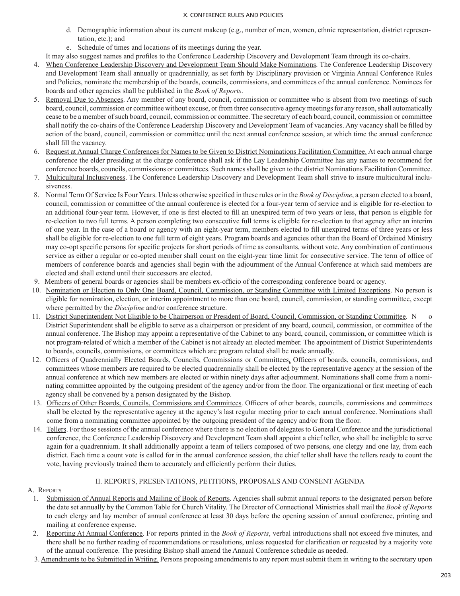- d. Demographic information about its current makeup (e.g., number of men, women, ethnic representation, district representation, etc.); and
- e. Schedule of times and locations of its meetings during the year.

It may also suggest names and profiles to the Conference Leadership Discovery and Development Team through its co-chairs.

- 4. When Conference Leadership Discovery and Development Team Should Make Nominations. The Conference Leadership Discovery and Development Team shall annually or quadrennially, as set forth by Disciplinary provision or Virginia Annual Conference Rules and Policies, nominate the membership of the boards, councils, commissions, and committees of the annual conference. Nominees for boards and other agencies shall be published in the *Book of Reports*.
- 5. Removal Due to Absences. Any member of any board, council, commission or committee who is absent from two meetings of such board, council, commission or committee without excuse, or from three consecutive agency meetings for any reason, shall automatically cease to be a member of such board, council, commission or committee. The secretary of each board, council, commission or committee shall notify the co-chairs of the Conference Leadership Discovery and Development Team of vacancies. Any vacancy shall be filled by action of the board, council, commission or committee until the next annual conference session, at which time the annual conference shall fill the vacancy.
- 6. Request at Annual Charge Conferences for Names to be Given to District Nominations Facilitation Committee. At each annual charge conference the elder presiding at the charge conference shall ask if the Lay Leadership Committee has any names to recommend for conference boards, councils, commissions or committees. Such names shall be given to the district Nominations Facilitation Committee.
- 7. Multicultural Inclusiveness. The Conference Leadership Discovery and Development Team shall strive to insure multicultural inclusiveness.
- 8. Normal Term Of Service Is Four Years. Unless otherwise specified in these rules or in the *Book of Discipline*, a person elected to a board, council, commission or committee of the annual conference is elected for a four-year term of service and is eligible for re-election to an additional four-year term. However, if one is first elected to fill an unexpired term of two years or less, that person is eligible for re-election to two full terms. A person completing two consecutive full terms is eligible for re-election to that agency after an interim of one year. In the case of a board or agency with an eight-year term, members elected to fill unexpired terms of three years or less shall be eligible for re-election to one full term of eight years. Program boards and agencies other than the Board of Ordained Ministry may co-opt specific persons for specific projects for short periods of time as consultants, without vote. Any combination of continuous service as either a regular or co-opted member shall count on the eight-year time limit for consecutive service. The term of office of members of conference boards and agencies shall begin with the adjournment of the Annual Conference at which said members are elected and shall extend until their successors are elected.
- 9. Members of general boards or agencies shall be members ex‑officio of the corresponding conference board or agency.
- 10. Nomination or Election to Only One Board, Council, Commission, or Standing Committee with Limited Exceptions. No person is eligible for nomination, election, or interim appointment to more than one board, council, commission, or standing committee, except where permitted by the *Discipline* and/or conference structure.
- 11. District Superintendent Not Eligible to be Chairperson or President of Board, Council, Commission, or Standing Committee. N District Superintendent shall be eligible to serve as a chairperson or president of any board, council, commission, or committee of the annual conference. The Bishop may appoint a representative of the Cabinet to any board, council, commission, or committee which is not program‑related of which a member of the Cabinet is not already an elected member. The appointment of District Superintendents to boards, councils, commissions, or committees which are program related shall be made annually.
- 12. Officers of Quadrennially Elected Boards, Councils, Commissions or Committees. Officers of boards, councils, commissions, and committees whose members are required to be elected quadrennially shall be elected by the representative agency at the session of the annual conference at which new members are elected or within ninety days after adjournment. Nominations shall come from a nominating committee appointed by the outgoing president of the agency and/or from the floor. The organizational or first meeting of each agency shall be convened by a person designated by the Bishop.
- 13. Officers of Other Boards, Councils, Commissions and Committees. Officers of other boards, councils, commissions and committees shall be elected by the representative agency at the agency's last regular meeting prior to each annual conference. Nominations shall come from a nominating committee appointed by the outgoing president of the agency and/or from the floor.
- 14. Tellers. For those sessions of the annual conference where there is no election of delegates to General Conference and the jurisdictional conference, the Conference Leadership Discovery and Development Team shall appoint a chief teller, who shall be ineligible to serve again for a quadrennium. It shall additionally appoint a team of tellers composed of two persons, one clergy and one lay, from each district. Each time a count vote is called for in the annual conference session, the chief teller shall have the tellers ready to count the vote, having previously trained them to accurately and efficiently perform their duties.

## II. REPORTS, PRESENTATIONS, PETITIONS, PROPOSALS AND CONSENT AGENDA

# A. REPORTS

- 1. Submission of Annual Reports and Mailing of Book of Reports. Agencies shall submit annual reports to the designated person before the date set annually by the Common Table for Church Vitality. The Director of Connectional Ministries shall mail the *Book of Reports*  to each clergy and lay member of annual conference at least 30 days before the opening session of annual conference, printing and mailing at conference expense.
- 2. Reporting At Annual Conference. For reports printed in the *Book of Reports*, verbal introductions shall not exceed five minutes, and there shall be no further reading of recommendations or resolutions, unless requested for clarification or requested by a majority vote of the annual conference. The presiding Bishop shall amend the Annual Conference schedule as needed.
- 3. Amendments to be Submitted in Writing. Persons proposing amendments to any report must submit them in writing to the secretary upon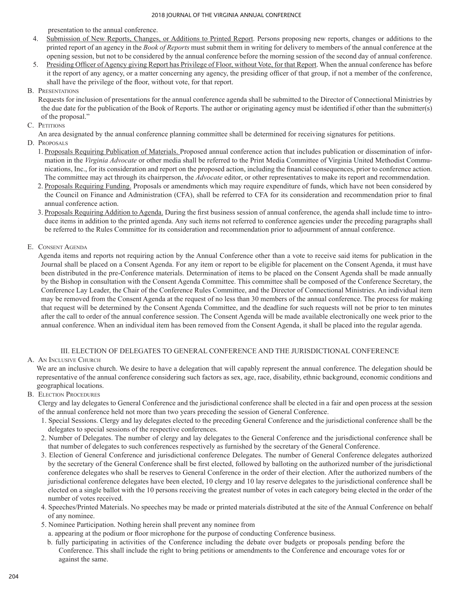presentation to the annual conference.

- 4. Submission of New Reports, Changes, or Additions to Printed Report. Persons proposing new reports, changes or additions to the printed report of an agency in the *Book of Reports* must submit them in writing for delivery to members of the annual conference at the opening session, but not to be considered by the annual conference before the morning session of the second day of annual conference.
- 5. Presiding Officer of Agency giving Report has Privilege of Floor, without Vote, for that Report. When the annual conference has before it the report of any agency, or a matter concerning any agency, the presiding officer of that group, if not a member of the conference, shall have the privilege of the floor, without vote, for that report.
- B. Presentations

Requests for inclusion of presentations for the annual conference agenda shall be submitted to the Director of Connectional Ministries by the due date for the publication of the Book of Reports. The author or originating agency must be identified if other than the submitter(s) of the proposal."

- C. PETITIONS
	- An area designated by the annual conference planning committee shall be determined for receiving signatures for petitions.
- D. Proposals
	- 1. Proposals Requiring Publication of Materials. Proposed annual conference action that includes publication or dissemination of information in the *Virginia Advocate* or other media shall be referred to the Print Media Committee of Virginia United Methodist Communications, Inc., for its consideration and report on the proposed action, including the financial consequences, prior to conference action. The committee may act through its chairperson, the *Advocate* editor, or other representatives to make its report and recommendation.
	- 2. Proposals Requiring Funding. Proposals or amendments which may require expenditure of funds, which have not been considered by the Council on Finance and Administration (CFA), shall be referred to CFA for its consideration and recommendation prior to final annual conference action.
	- 3. Proposals Requiring Addition to Agenda. During the first business session of annual conference, the agenda shall include time to introduce items in addition to the printed agenda. Any such items not referred to conference agencies under the preceding paragraphs shall be referred to the Rules Committee for its consideration and recommendation prior to adjournment of annual conference.
- E. Consent Agenda

Agenda items and reports not requiring action by the Annual Conference other than a vote to receive said items for publication in the Journal shall be placed on a Consent Agenda. For any item or report to be eligible for placement on the Consent Agenda, it must have been distributed in the pre-Conference materials. Determination of items to be placed on the Consent Agenda shall be made annually by the Bishop in consultation with the Consent Agenda Committee. This committee shall be composed of the Conference Secretary, the Conference Lay Leader, the Chair of the Conference Rules Committee, and the Director of Connectional Ministries. An individual item may be removed from the Consent Agenda at the request of no less than 30 members of the annual conference. The process for making that request will be determined by the Consent Agenda Committee, and the deadline for such requests will not be prior to ten minutes after the call to order of the annual conference session. The Consent Agenda will be made available electronically one week prior to the annual conference. When an individual item has been removed from the Consent Agenda, it shall be placed into the regular agenda.

### III. ELECTION OF DELEGATES TO GENERAL CONFERENCE AND THE JURISDICTIONAL CONFERENCE

## A. An Inclusive Church

We are an inclusive church. We desire to have a delegation that will capably represent the annual conference. The delegation should be representative of the annual conference considering such factors as sex, age, race, disability, ethnic background, economic conditions and geographical locations.

### B. Election Procedures

Clergy and lay delegates to General Conference and the jurisdictional conference shall be elected in a fair and open process at the session of the annual conference held not more than two years preceding the session of General Conference.

- 1. Special Sessions. Clergy and lay delegates elected to the preceding General Conference and the jurisdictional conference shall be the delegates to special sessions of the respective conferences.
- 2. Number of Delegates. The number of clergy and lay delegates to the General Conference and the jurisdictional conference shall be that number of delegates to such conferences respectively as furnished by the secretary of the General Conference.
- 3. Election of General Conference and jurisdictional conference Delegates. The number of General Conference delegates authorized by the secretary of the General Conference shall be first elected, followed by balloting on the authorized number of the jurisdictional conference delegates who shall be reserves to General Conference in the order of their election. After the authorized numbers of the jurisdictional conference delegates have been elected, 10 clergy and 10 lay reserve delegates to the jurisdictional conference shall be elected on a single ballot with the 10 persons receiving the greatest number of votes in each category being elected in the order of the number of votes received.
- 4. Speeches/Printed Materials. No speeches may be made or printed materials distributed at the site of the Annual Conference on behalf of any nominee.
- 5. Nominee Participation. Nothing herein shall prevent any nominee from
- a. appearing at the podium or floor microphone for the purpose of conducting Conference business.
- b. fully participating in activities of the Conference including the debate over budgets or proposals pending before the Conference. This shall include the right to bring petitions or amendments to the Conference and encourage votes for or against the same.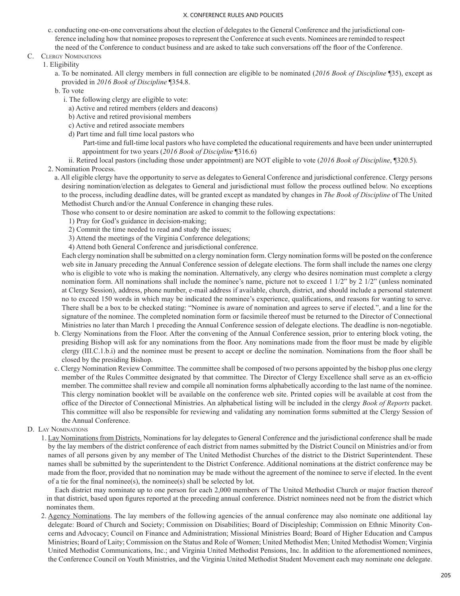- c. conducting one-on-one conversations about the election of delegates to the General Conference and the jurisdictional conference including how that nominee proposes to represent the Conference at such events. Nominees are reminded to respect the need of the Conference to conduct business and are asked to take such conversations off the floor of the Conference.
- C. Clergy Nominations

1. Eligibility

a. To be nominated. All clergy members in full connection are eligible to be nominated (*2016 Book of Discipline* ¶35), except as provided in *2016 Book of Discipline* ¶354.8.

b. To vote

- i. The following clergy are eligible to vote:
	- a) Active and retired members (elders and deacons)
	- b) Active and retired provisional members
- c) Active and retired associate members
- d) Part time and full time local pastors who
	- Part-time and full-time local pastors who have completed the educational requirements and have been under uninterrupted appointment for two years (*2016 Book of Discipline* ¶316.6)

ii. Retired local pastors (including those under appointment) are NOT eligible to vote (*2016 Book of Discipline*, ¶320.5).

- 2. Nomination Process.
	- a. All eligible clergy have the opportunity to serve as delegates to General Conference and jurisdictional conference. Clergy persons desiring nomination/election as delegates to General and jurisdictional must follow the process outlined below. No exceptions to the process, including deadline dates, will be granted except as mandated by changes in *The Book of Discipline* of The United Methodist Church and/or the Annual Conference in changing these rules.

Those who consent to or desire nomination are asked to commit to the following expectations:

- 1) Pray for God's guidance in decision-making;
- 2) Commit the time needed to read and study the issues;
- 3) Attend the meetings of the Virginia Conference delegations;
- 4) Attend both General Conference and jurisdictional conference.

Each clergy nomination shall be submitted on a clergy nomination form. Clergy nomination forms will be posted on the conference web site in January preceding the Annual Conference session of delegate elections. The form shall include the names one clergy who is eligible to vote who is making the nomination. Alternatively, any clergy who desires nomination must complete a clergy nomination form. All nominations shall include the nominee's name, picture not to exceed 1 1/2" by 2 1/2" (unless nominated at Clergy Session), address, phone number, e-mail address if available, church, district, and should include a personal statement no to exceed 150 words in which may be indicated the nominee's experience, qualifications, and reasons for wanting to serve. There shall be a box to be checked stating: "Nominee is aware of nomination and agrees to serve if elected.", and a line for the signature of the nominee. The completed nomination form or facsimile thereof must be returned to the Director of Connectional Ministries no later than March 1 preceding the Annual Conference session of delegate elections. The deadline is non-negotiable.

- b. Clergy Nominations from the Floor. After the convening of the Annual Conference session, prior to entering block voting, the presiding Bishop will ask for any nominations from the floor. Any nominations made from the floor must be made by eligible clergy (III.C.1.b.i) and the nominee must be present to accept or decline the nomination. Nominations from the floor shall be closed by the presiding Bishop.
- c. Clergy Nomination Review Committee. The committee shall be composed of two persons appointed by the bishop plus one clergy member of the Rules Committee designated by that committee. The Director of Clergy Excellence shall serve as an ex-officio member. The committee shall review and compile all nomination forms alphabetically according to the last name of the nominee. This clergy nomination booklet will be available on the conference web site. Printed copies will be available at cost from the office of the Director of Connectional Ministries. An alphabetical listing will be included in the clergy *Book of Reports* packet. This committee will also be responsible for reviewing and validating any nomination forms submitted at the Clergy Session of the Annual Conference.
- D. Lay Nominations

1. Lay Nominations from Districts. Nominations for lay delegates to General Conference and the jurisdictional conference shall be made by the lay members of the district conference of each district from names submitted by the District Council on Ministries and/or from names of all persons given by any member of The United Methodist Churches of the district to the District Superintendent. These names shall be submitted by the superintendent to the District Conference. Additional nominations at the district conference may be made from the floor, provided that no nomination may be made without the agreement of the nominee to serve if elected. In the event of a tie for the final nominee(s), the nominee(s) shall be selected by lot.

 Each district may nominate up to one person for each 2,000 members of The United Methodist Church or major fraction thereof in that district, based upon figures reported at the preceding annual conference. District nominees need not be from the district which nominates them.

2. Agency Nominations. The lay members of the following agencies of the annual conference may also nominate one additional lay delegate: Board of Church and Society; Commission on Disabilities; Board of Discipleship; Commission on Ethnic Minority Concerns and Advocacy; Council on Finance and Administration; Missional Ministries Board; Board of Higher Education and Campus Ministries; Board of Laity; Commission on the Status and Role of Women; United Methodist Men; United Methodist Women; Virginia United Methodist Communications, Inc.; and Virginia United Methodist Pensions, Inc. In addition to the aforementioned nominees, the Conference Council on Youth Ministries, and the Virginia United Methodist Student Movement each may nominate one delegate.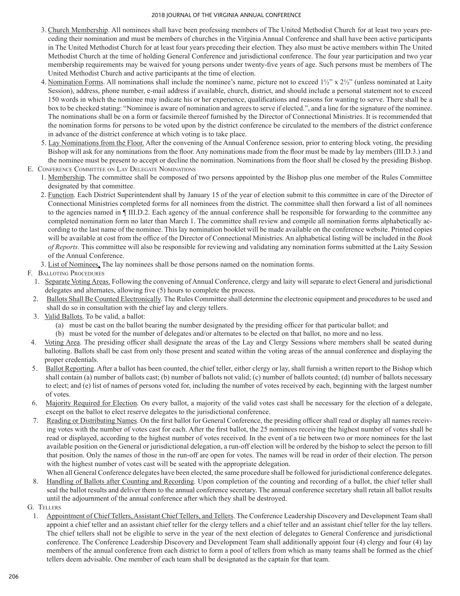- 3. Church Membership. All nominees shall have been professing members of The United Methodist Church for at least two years preceding their nomination and must be members of churches in the Virginia Annual Conference and shall have been active participants in The United Methodist Church for at least four years preceding their election. They also must be active members within The United Methodist Church at the time of holding General Conference and jurisdictional conference. The four year participation and two year membership requirements may be waived for young persons under twenty-five years of age. Such persons must be members of The United Methodist Church and active participants at the time of election.
- 4. Nomination Forms. All nominations shall include the nominee's name, picture not to exceed  $1\frac{1}{2}$ " x  $2\frac{1}{2}$ " (unless nominated at Laity Session), address, phone number, e-mail address if available, church, district, and should include a personal statement not to exceed 150 words in which the nominee may indicate his or her experience, qualifications and reasons for wanting to serve. There shall be a box to be checked stating: "Nominee is aware of nomination and agrees to serve if elected.", and a line for the signature of the nominee. The nominations shall be on a form or facsimile thereof furnished by the Director of Connectional Ministries. It is recommended that the nomination forms for persons to be voted upon by the district conference be circulated to the members of the district conference in advance of the district conference at which voting is to take place.
- 5. Lay Nominations from the Floor. After the convening of the Annual Conference session, prior to entering block voting, the presiding Bishop will ask for any nominations from the floor. Any nominations made from the floor must be made by lay members (III.D.3.) and the nominee must be present to accept or decline the nomination. Nominations from the floor shall be closed by the presiding Bishop.
- E. Conference Committee on Lay Delegate Nominations
	- 1. Membership. The committee shall be composed of two persons appointed by the Bishop plus one member of the Rules Committee designated by that committee.
	- 2. Function. Each District Superintendent shall by January 15 of the year of election submit to this committee in care of the Director of Connectional Ministries completed forms for all nominees from the district. The committee shall then forward a list of all nominees to the agencies named in ¶ III.D.2. Each agency of the annual conference shall be responsible for forwarding to the committee any completed nomination form no later than March 1. The committee shall review and compile all nomination forms alphabetically according to the last name of the nominee. This lay nomination booklet will be made available on the conference website. Printed copies will be available at cost from the office of the Director of Connectional Ministries. An alphabetical listing will be included in the *Book of Reports.* This committee will also be responsible for reviewing and validating any nomination forms submitted at the Laity Session of the Annual Conference.
	- 3. List of Nominees. The lay nominees shall be those persons named on the nomination forms.

# F. Balloting Procedures

- 1. Separate Voting Areas. Following the convening of Annual Conference, clergy and laity will separate to elect General and jurisdictional delegates and alternates, allowing five (5) hours to complete the process.
- 2. Ballots Shall Be Counted Electronically. The Rules Committee shall determine the electronic equipment and procedures to be used and shall do so in consultation with the chief lay and clergy tellers.
- 3. Valid Ballots. To be valid, a ballot:
	- (a) must be cast on the ballot bearing the number designated by the presiding officer for that particular ballot; and
	- (b) must be voted for the number of delegates and/or alternates to be elected on that ballot, no more and no less.
- 4. Voting Area. The presiding officer shall designate the areas of the Lay and Clergy Sessions where members shall be seated during balloting. Ballots shall be cast from only those present and seated within the voting areas of the annual conference and displaying the proper credentials.
- 5. Ballot Reporting. After a ballot has been counted, the chief teller, either clergy or lay, shall furnish a written report to the Bishop which shall contain (a) number of ballots cast; (b) number of ballots not valid; (c) number of ballots counted; (d) number of ballots necessary to elect; and (e) list of names of persons voted for, including the number of votes received by each, beginning with the largest number of votes.
- 6. Majority Required for Election. On every ballot, a majority of the valid votes cast shall be necessary for the election of a delegate, except on the ballot to elect reserve delegates to the jurisdictional conference.
- 7. Reading or Distributing Names. On the first ballot for General Conference, the presiding officer shall read or display all names receiving votes with the number of votes cast for each. After the first ballot, the 25 nominees receiving the highest number of votes shall be read or displayed, according to the highest number of votes received. In the event of a tie between two or more nominees for the last available position on the General or jurisdictional delegation, a run-off election will be ordered by the bishop to select the person to fill that position. Only the names of those in the run-off are open for votes. The names will be read in order of their election. The person with the highest number of votes cast will be seated with the appropriate delegation.
- When all General Conference delegates have been elected, the same procedure shall be followed for jurisdictional conference delegates. 8. Handling of Ballots after Counting and Recording. Upon completion of the counting and recording of a ballot, the chief teller shall seal the ballot results and deliver them to the annual conference secretary. The annual conference secretary shall retain all ballot results until the adjournment of the annual conference after which they shall be destroyed.
- G. Tellers
	- 1. Appointment of Chief Tellers, Assistant Chief Tellers, and Tellers. The Conference Leadership Discovery and Development Team shall appoint a chief teller and an assistant chief teller for the clergy tellers and a chief teller and an assistant chief teller for the lay tellers. The chief tellers shall not be eligible to serve in the year of the next election of delegates to General Conference and jurisdictional conference. The Conference Leadership Discovery and Development Team shall additionally appoint four (4) clergy and four (4) lay members of the annual conference from each district to form a pool of tellers from which as many teams shall be formed as the chief tellers deem advisable. One member of each team shall be designated as the captain for that team.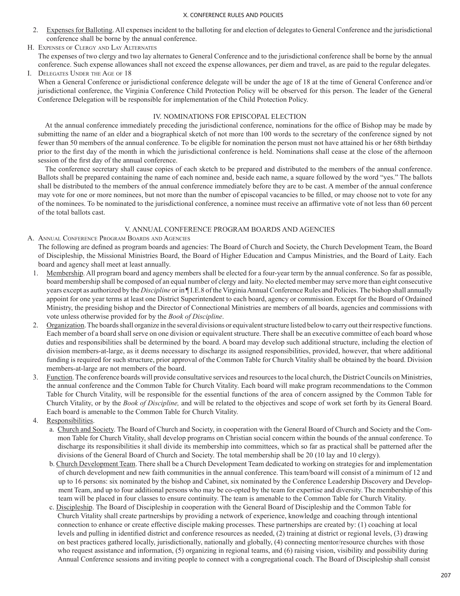- 2. Expenses for Balloting. All expenses incident to the balloting for and election of delegates to General Conference and the jurisdictional conference shall be borne by the annual conference.
- H. Expenses of Clergy and Lay Alternates

The expenses of two clergy and two lay alternates to General Conference and to the jurisdictional conference shall be borne by the annual conference. Such expense allowances shall not exceed the expense allowances, per diem and travel, as are paid to the regular delegates.

I. Delegates Under the Age of 18

When a General Conference or jurisdictional conference delegate will be under the age of 18 at the time of General Conference and/or jurisdictional conference, the Virginia Conference Child Protection Policy will be observed for this person. The leader of the General Conference Delegation will be responsible for implementation of the Child Protection Policy.

## IV. NOMINATIONS FOR EPISCOPAL ELECTION

At the annual conference immediately preceding the jurisdictional conference, nominations for the office of Bishop may be made by submitting the name of an elder and a biographical sketch of not more than 100 words to the secretary of the conference signed by not fewer than 50 members of the annual conference. To be eligible for nomination the person must not have attained his or her 68th birthday prior to the first day of the month in which the jurisdictional conference is held. Nominations shall cease at the close of the afternoon session of the first day of the annual conference.

 The conference secretary shall cause copies of each sketch to be prepared and distributed to the members of the annual conference. Ballots shall be prepared containing the name of each nominee and, beside each name, a square followed by the word "yes." The ballots shall be distributed to the members of the annual conference immediately before they are to be cast. A member of the annual conference may vote for one or more nominees, but not more than the number of episcopal vacancies to be filled, or may choose not to vote for any of the nominees. To be nominated to the jurisdictional conference, a nominee must receive an affirmative vote of not less than 60 percent of the total ballots cast.

# V. ANNUAL CONFERENCE PROGRAM BOARDS AND AGENCIES

A. Annual Conference Program Boards and Agencies

The following are defined as program boards and agencies: The Board of Church and Society, the Church Development Team, the Board of Discipleship, the Missional Ministries Board, the Board of Higher Education and Campus Ministries, and the Board of Laity. Each board and agency shall meet at least annually.

- 1. Membership. All program board and agency members shall be elected for a four-year term by the annual conference. So far as possible, board membership shall be composed of an equal number of clergy and laity. No elected member may serve more than eight consecutive years except as authorized by the *Discipline* or in ¶ I.E.8 of the Virginia Annual Conference Rules and Policies. The bishop shall annually appoint for one year terms at least one District Superintendent to each board, agency or commission. Except for the Board of Ordained Ministry, the presiding bishop and the Director of Connectional Ministries are members of all boards, agencies and commissions with vote unless otherwise provided for by the *Book of Discipline*.
- 2. Organization. The boards shall organize in the several divisions or equivalent structure listed below to carry out their respective functions. Each member of a board shall serve on one division or equivalent structure. There shall be an executive committee of each board whose duties and responsibilities shall be determined by the board. A board may develop such additional structure, including the election of division members-at-large, as it deems necessary to discharge its assigned responsibilities, provided, however, that where additional funding is required for such structure, prior approval of the Common Table for Church Vitality shall be obtained by the board. Division members-at-large are not members of the board.
- 3. Function. The conference boards will provide consultative services and resources to the local church, the District Councils on Ministries, the annual conference and the Common Table for Church Vitality. Each board will make program recommendations to the Common Table for Church Vitality, will be responsible for the essential functions of the area of concern assigned by the Common Table for Church Vitality, or by the *Book of Discipline,* and will be related to the objectives and scope of work set forth by its General Board. Each board is amenable to the Common Table for Church Vitality.
- 4. Responsibilities.
	- a. Church and Society. The Board of Church and Society, in cooperation with the General Board of Church and Society and the Common Table for Church Vitality, shall develop programs on Christian social concern within the bounds of the annual conference. To discharge its responsibilities it shall divide its membership into committees, which so far as practical shall be patterned after the divisions of the General Board of Church and Society. The total membership shall be 20 (10 lay and 10 clergy).
	- b. Church Development Team. There shall be a Church Development Team dedicated to working on strategies for and implementation of church development and new faith communities in the annual conference. This team/board will consist of a minimum of 12 and up to 16 persons: six nominated by the bishop and Cabinet, six nominated by the Conference Leadership Discovery and Development Team, and up to four additional persons who may be co-opted by the team for expertise and diversity. The membership of this team will be placed in four classes to ensure continuity. The team is amenable to the Common Table for Church Vitality.
	- c. Discipleship. The Board of Discipleship in cooperation with the General Board of Discipleship and the Common Table for Church Vitality shall create partnerships by providing a network of experience, knowledge and coaching through intentional connection to enhance or create effective disciple making processes. These partnerships are created by: (1) coaching at local levels and pulling in identified district and conference resources as needed, (2) training at district or regional levels, (3) drawing on best practices gathered locally, jurisdictionally, nationally and globally, (4) connecting mentor/resource churches with those who request assistance and information, (5) organizing in regional teams, and (6) raising vision, visibility and possibility during Annual Conference sessions and inviting people to connect with a congregational coach. The Board of Discipleship shall consist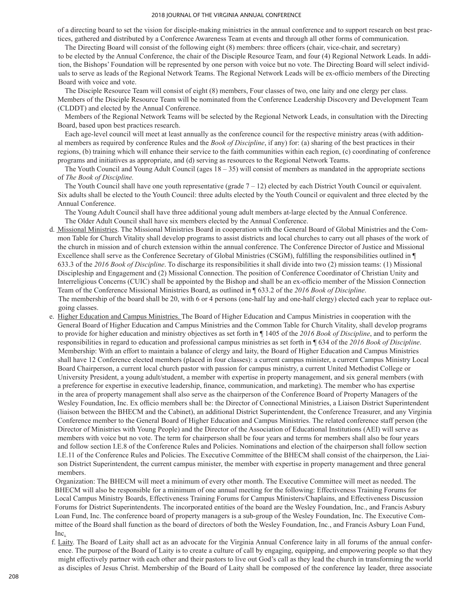of a directing board to set the vision for disciple-making ministries in the annual conference and to support research on best practices, gathered and distributed by a Conference Awareness Team at events and through all other forms of communication.

The Directing Board will consist of the following eight (8) members: three officers (chair, vice-chair, and secretary) to be elected by the Annual Conference, the chair of the Disciple Resource Team, and four (4) Regional Network Leads. In addition, the Bishops' Foundation will be represented by one person with voice but no vote. The Directing Board will select individuals to serve as leads of the Regional Network Teams. The Regional Network Leads will be ex-officio members of the Directing Board with voice and vote.

 The Disciple Resource Team will consist of eight (8) members, Four classes of two, one laity and one clergy per class. Members of the Disciple Resource Team will be nominated from the Conference Leadership Discovery and Development Team (CLDDT) and elected by the Annual Conference.

 Members of the Regional Network Teams will be selected by the Regional Network Leads, in consultation with the Directing Board, based upon best practices research.

Each age-level council will meet at least annually as the conference council for the respective ministry areas (with additional members as required by conference Rules and the *Book of Discipline*, if any) for: (a) sharing of the best practices in their regions, (b) training which will enhance their service to the faith communities within each region, (c) coordinating of conference programs and initiatives as appropriate, and (d) serving as resources to the Regional Network Teams.

The Youth Council and Young Adult Council (ages  $18 - 35$ ) will consist of members as mandated in the appropriate sections of *The Book of Discipline.*

The Youth Council shall have one youth representative (grade  $7 - 12$ ) elected by each District Youth Council or equivalent. Six adults shall be elected to the Youth Council: three adults elected by the Youth Council or equivalent and three elected by the Annual Conference.

The Young Adult Council shall have three additional young adult members at-large elected by the Annual Conference. The Older Adult Council shall have six members elected by the Annual Conference.

d. Missional Ministries. The Missional Ministries Board in cooperation with the General Board of Global Ministries and the Common Table for Church Vitality shall develop programs to assist districts and local churches to carry out all phases of the work of the church in mission and of church extension within the annual conference. The Conference Director of Justice and Missional Excellence shall serve as the Conference Secretary of Global Ministries (CSGM), fulfilling the responsibilities outlined in ¶ 633.3 of the *2016 Book of Discipline*. To discharge its responsibilities it shall divide into two (2) mission teams: (1) Missional Discipleship and Engagement and (2) Missional Connection. The position of Conference Coordinator of Christian Unity and Interreligious Concerns (CUIC) shall be appointed by the Bishop and shall be an ex-officio member of the Mission Connection Team of the Conference Missional Ministries Board, as outlined in ¶ 633.2 of the *2016 Book of Discipline*. The membership of the board shall be 20, with 6 or 4 persons (one-half lay and one-half clergy) elected each year to replace outgoing classes.

e. Higher Education and Campus Ministries. The Board of Higher Education and Campus Ministries in cooperation with the General Board of Higher Education and Campus Ministries and the Common Table for Church Vitality, shall develop programs to provide for higher education and ministry objectives as set forth in ¶ 1405 of the *2016 Book of Discipline*, and to perform the responsibilities in regard to education and professional campus ministries as set forth in ¶ 634 of the *2016 Book of Discipline*. Membership: With an effort to maintain a balance of clergy and laity, the Board of Higher Education and Campus Ministries shall have 12 Conference elected members (placed in four classes): a current campus minister, a current Campus Ministry Local Board Chairperson, a current local church pastor with passion for campus ministry, a current United Methodist College or University President, a young adult/student, a member with expertise in property management, and six general members (with a preference for expertise in executive leadership, finance, communication, and marketing). The member who has expertise in the area of property management shall also serve as the chairperson of the Conference Board of Property Managers of the Wesley Foundation, Inc. Ex officio members shall be: the Director of Connectional Ministries, a Liaison District Superintendent (liaison between the BHECM and the Cabinet), an additional District Superintendent, the Conference Treasurer, and any Virginia Conference member to the General Board of Higher Education and Campus Ministries. The related conference staff person (the Director of Ministries with Young People) and the Director of the Association of Educational Institutions (AEI) will serve as members with voice but no vote. The term for chairperson shall be four years and terms for members shall also be four years and follow section I.E.8 of the Conference Rules and Policies. Nominations and election of the chairperson shall follow section I.E.11 of the Conference Rules and Policies. The Executive Committee of the BHECM shall consist of the chairperson, the Liaison District Superintendent, the current campus minister, the member with expertise in property management and three general members.

Organization: The BHECM will meet a minimum of every other month. The Executive Committee will meet as needed. The BHECM will also be responsible for a minimum of one annual meeting for the following: Effectiveness Training Forums for Local Campus Ministry Boards, Effectiveness Training Forums for Campus Ministers/Chaplains, and Effectiveness Discussion Forums for District Superintendents. The incorporated entities of the board are the Wesley Foundation, Inc., and Francis Asbury Loan Fund, Inc. The conference board of property managers is a sub-group of the Wesley Foundation, Inc. The Executive Committee of the Board shall function as the board of directors of both the Wesley Foundation, Inc., and Francis Asbury Loan Fund, Inc.

f. Laity. The Board of Laity shall act as an advocate for the Virginia Annual Conference laity in all forums of the annual conference. The purpose of the Board of Laity is to create a culture of call by engaging, equipping, and empowering people so that they might effectively partner with each other and their pastors to live out God's call as they lead the church in transforming the world as disciples of Jesus Christ. Membership of the Board of Laity shall be composed of the conference lay leader, three associate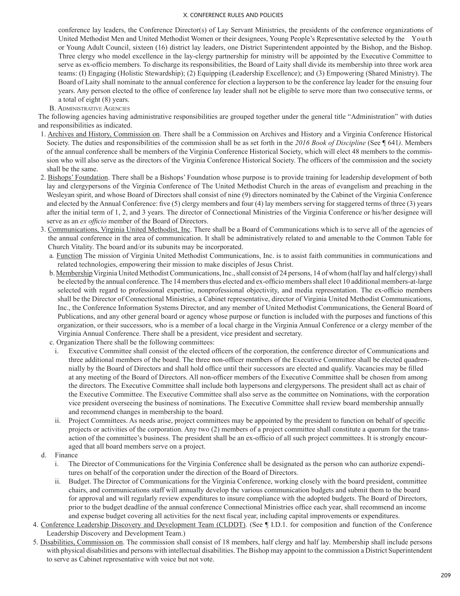conference lay leaders, the Conference Director(s) of Lay Servant Ministries, the presidents of the conference organizations of United Methodist Men and United Methodist Women or their designees, Young People's Representative selected by the Youth or Young Adult Council, sixteen (16) district lay leaders, one District Superintendent appointed by the Bishop, and the Bishop. Three clergy who model excellence in the lay-clergy partnership for ministry will be appointed by the Executive Committee to serve as ex-officio members. To discharge its responsibilities, the Board of Laity shall divide its membership into three work area teams: (I) Engaging (Holistic Stewardship); (2) Equipping (Leadership Excellence); and (3) Empowering (Shared Ministry). The Board of Laity shall nominate to the annual conference for election a layperson to be the conference lay leader for the ensuing four years. Any person elected to the office of conference lay leader shall not be eligible to serve more than two consecutive terms, or a total of eight (8) years.

### B. Administrative Agencies

The following agencies having administrative responsibilities are grouped together under the general title "Administration" with duties and responsibilities as indicated.

- 1. Archives and History, Commission on. There shall be a Commission on Archives and History and a Virginia Conference Historical Society. The duties and responsibilities of the commission shall be as set forth in the *2016 Book of Discipline* (See ¶ 641*)*. Members of the annual conference shall be members of the Virginia Conference Historical Society, which will elect 48 members to the commission who will also serve as the directors of the Virginia Conference Historical Society. The officers of the commission and the society shall be the same.
- 2. Bishops' Foundation. There shall be a Bishops' Foundation whose purpose is to provide training for leadership development of both lay and clergypersons of the Virginia Conference of The United Methodist Church in the areas of evangelism and preaching in the Wesleyan spirit, and whose Board of Directors shall consist of nine (9) directors nominated by the Cabinet of the Virginia Conference and elected by the Annual Conference: five (5) clergy members and four (4) lay members serving for staggered terms of three (3) years after the initial term of 1, 2, and 3 years. The director of Connectional Ministries of the Virginia Conference or his/her designee will serve as an *ex officio* member of the Board of Directors.
- 3. Communications, Virginia United Methodist, Inc. There shall be a Board of Communications which is to serve all of the agencies of the annual conference in the area of communication. It shall be administratively related to and amenable to the Common Table for Church Vitality. The board and/or its subunits may be incorporated.
	- a*.* Function The mission of Virginia United Methodist Communications, Inc. is to assist faith communities in communications and related technologies, empowering their mission to make disciples of Jesus Christ.
	- b. Membership Virginia United Methodist Communications, Inc., shall consist of 24 persons, 14 of whom (half lay and half clergy) shall be elected by the annual conference. The 14 members thus elected and ex-officio members shall elect 10 additional members-at-large selected with regard to professional expertise, nonprofessional objectivity, and media representation. The ex-officio members shall be the Director of Connectional Ministries, a Cabinet representative, director of Virginia United Methodist Communications, Inc., the Conference Information Systems Director, and any member of United Methodist Communications, the General Board of Publications, and any other general board or agency whose purpose or function is included with the purposes and functions of this organization, or their successors, who is a member of a local charge in the Virginia Annual Conference or a clergy member of the Virginia Annual Conference. There shall be a president, vice president and secretary.
	- c. Organization There shall be the following committees:
		- i. Executive Committee shall consist of the elected officers of the corporation, the conference director of Communications and three additional members of the board. The three non-officer members of the Executive Committee shall be elected quadrennially by the Board of Directors and shall hold office until their successors are elected and qualify. Vacancies may be filled at any meeting of the Board of Directors. All non-officer members of the Executive Committee shall be chosen from among the directors. The Executive Committee shall include both laypersons and clergypersons. The president shall act as chair of the Executive Committee. The Executive Committee shall also serve as the committee on Nominations, with the corporation vice president overseeing the business of nominations. The Executive Committee shall review board membership annually and recommend changes in membership to the board.
		- ii. Project Committees. As needs arise, project committees may be appointed by the president to function on behalf of specific projects or activities of the corporation. Any two (2) members of a project committee shall constitute a quorum for the transaction of the committee's business. The president shall be an ex-officio of all such project committees. It is strongly encouraged that all board members serve on a project.
- d. Finance
	- i. The Director of Communications for the Virginia Conference shall be designated as the person who can authorize expenditures on behalf of the corporation under the direction of the Board of Directors.
	- ii. Budget. The Director of Communications for the Virginia Conference, working closely with the board president, committee chairs, and communications staff will annually develop the various communication budgets and submit them to the board for approval and will regularly review expenditures to insure compliance with the adopted budgets. The Board of Directors, prior to the budget deadline of the annual conference Connectional Ministries office each year, shall recommend an income and expense budget covering all activities for the next fiscal year, including capital improvements or expenditures.
- 4. Conference Leadership Discovery and Development Team (CLDDT). (See ¶ I.D.1. for composition and function of the Conference Leadership Discovery and Development Team.)
- 5. Disabilities, Commission on. The commission shall consist of 18 members, half clergy and half lay. Membership shall include persons with physical disabilities and persons with intellectual disabilities. The Bishop may appoint to the commission a District Superintendent to serve as Cabinet representative with voice but not vote.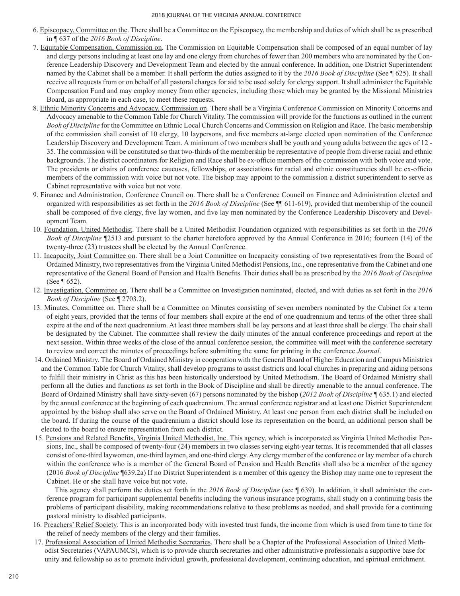- 6. Episcopacy, Committee on the. There shall be a Committee on the Episcopacy, the membership and duties of which shall be as prescribed in ¶ 637 of the *2016 Book of Discipline*.
- 7. Equitable Compensation, Commission on. The Commission on Equitable Compensation shall be composed of an equal number of lay and clergy persons including at least one lay and one clergy from churches of fewer than 200 members who are nominated by the Conference Leadership Discovery and Development Team and elected by the annual conference. In addition, one District Superintendent named by the Cabinet shall be a member. It shall perform the duties assigned to it by the *2016 Book of Discipline* (See ¶ 625). It shall receive all requests from or on behalf of all pastoral charges for aid to be used solely for clergy support. It shall administer the Equitable Compensation Fund and may employ money from other agencies, including those which may be granted by the Missional Ministries Board, as appropriate in each case, to meet these requests.
- 8. Ethnic Minority Concerns and Advocacy, Commission on. There shall be a Virginia Conference Commission on Minority Concerns and Advocacy amenable to the Common Table for Church Vitality. The commission will provide for the functions as outlined in the current *Book of Discipline* for the Committee on Ethnic Local Church Concerns and Commission on Religion and Race. The basic membership of the commission shall consist of 10 clergy, 10 laypersons, and five members at-large elected upon nomination of the Conference Leadership Discovery and Development Team. A minimum of two members shall be youth and young adults between the ages of 12 - 35. The commission will be constituted so that two-thirds of the membership be representative of people from diverse racial and ethnic backgrounds. The district coordinators for Religion and Race shall be ex-officio members of the commission with both voice and vote. The presidents or chairs of conference caucuses, fellowships, or associations for racial and ethnic constituencies shall be ex-officio members of the commission with voice but not vote. The bishop may appoint to the commission a district superintendent to serve as Cabinet representative with voice but not vote.
- 9. Finance and Administration, Conference Council on. There shall be a Conference Council on Finance and Administration elected and organized with responsibilities as set forth in the *2016 Book of Discipline* (See ¶¶ 611-619), provided that membership of the council shall be composed of five clergy, five lay women, and five lay men nominated by the Conference Leadership Discovery and Development Team.
- 10. Foundation, United Methodist. There shall be a United Methodist Foundation organized with responsibilities as set forth in the *2016 Book of Discipline* ¶2513 and pursuant to the charter heretofore approved by the Annual Conference in 2016; fourteen (14) of the twenty-three (23) trustees shall be elected by the Annual Conference.
- 11. Incapacity, Joint Committee on. There shall be a Joint Committee on Incapacity consisting of two representatives from the Board of Ordained Ministry, two representatives from the Virginia United Methodist Pensions, Inc., one representative from the Cabinet and one representative of the General Board of Pension and Health Benefits. Their duties shall be as prescribed by the *2016 Book of Discipline* (See ¶ 652).
- 12. Investigation, Committee on. There shall be a Committee on Investigation nominated, elected, and with duties as set forth in the *2016 Book of Discipline* (See ¶ 2703.2).
- 13. Minutes, Committee on. There shall be a Committee on Minutes consisting of seven members nominated by the Cabinet for a term of eight years, provided that the terms of four members shall expire at the end of one quadrennium and terms of the other three shall expire at the end of the next quadrennium. At least three members shall be lay persons and at least three shall be clergy. The chair shall be designated by the Cabinet. The committee shall review the daily minutes of the annual conference proceedings and report at the next session. Within three weeks of the close of the annual conference session, the committee will meet with the conference secretary to review and correct the minutes of proceedings before submitting the same for printing in the conference *Journal*.
- 14. Ordained Ministry. The Board of Ordained Ministry in cooperation with the General Board of Higher Education and Campus Ministries and the Common Table for Church Vitality, shall develop programs to assist districts and local churches in preparing and aiding persons to fulfill their ministry in Christ as this has been historically understood by United Methodism. The Board of Ordained Ministry shall perform all the duties and functions as set forth in the Book of Discipline and shall be directly amenable to the annual conference. The Board of Ordained Ministry shall have sixty-seven (67) persons nominated by the bishop (*2012 Book of Discipline* ¶ 635.1) and elected by the annual conference at the beginning of each quadrennium. The annual conference registrar and at least one District Superintendent appointed by the bishop shall also serve on the Board of Ordained Ministry. At least one person from each district shall be included on the board. If during the course of the quadrennium a district should lose its representation on the board, an additional person shall be elected to the board to ensure representation from each district.
- 15. Pensions and Related Benefits, Virginia United Methodist, Inc. This agency, which is incorporated as Virginia United Methodist Pensions, Inc., shall be composed of twenty-four (24) members in two classes serving eight-year terms. It is recommended that all classes consist of one-third laywomen, one-third laymen, and one-third clergy. Any clergy member of the conference or lay member of a church within the conference who is a member of the General Board of Pension and Health Benefits shall also be a member of the agency (2016 *Book of Discipline* ¶639.2a) If no District Superintendent is a member of this agency the Bishop may name one to represent the Cabinet. He or she shall have voice but not vote.

 This agency shall perform the duties set forth in the *2016 Book of Discipline* (see ¶ 639). In addition, it shall administer the conference program for participant supplemental benefits including the various insurance programs, shall study on a continuing basis the problems of participant disability, making recommendations relative to these problems as needed, and shall provide for a continuing pastoral ministry to disabled participants.

- 16. Preachers' Relief Society. This is an incorporated body with invested trust funds, the income from which is used from time to time for the relief of needy members of the clergy and their families.
- 17. Professional Association of United Methodist Secretaries. There shall be a Chapter of the Professional Association of United Methodist Secretaries (VAPAUMCS), which is to provide church secretaries and other administrative professionals a supportive base for unity and fellowship so as to promote individual growth, professional development, continuing education, and spiritual enrichment.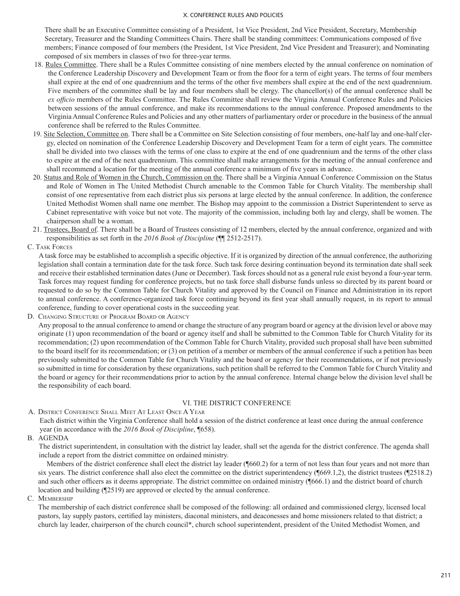There shall be an Executive Committee consisting of a President, 1st Vice President, 2nd Vice President, Secretary, Membership Secretary, Treasurer and the Standing Committees Chairs. There shall be standing committees: Communications composed of five members; Finance composed of four members (the President, 1st Vice President, 2nd Vice President and Treasurer); and Nominating composed of six members in classes of two for three-year terms.

- 18. Rules Committee. There shall be a Rules Committee consisting of nine members elected by the annual conference on nomination of the Conference Leadership Discovery and Development Team or from the floor for a term of eight years. The terms of four members shall expire at the end of one quadrennium and the terms of the other five members shall expire at the end of the next quadrennium. Five members of the committee shall be lay and four members shall be clergy. The chancellor(s) of the annual conference shall be *ex officio* members of the Rules Committee. The Rules Committee shall review the Virginia Annual Conference Rules and Policies between sessions of the annual conference, and make its recommendations to the annual conference. Proposed amendments to the Virginia Annual Conference Rules and Policies and any other matters of parliamentary order or procedure in the business of the annual conference shall be referred to the Rules Committee.
- 19. Site Selection, Committee on. There shall be a Committee on Site Selection consisting of four members, one‑half lay and one‑half clergy, elected on nomination of the Conference Leadership Discovery and Development Team for a term of eight years. The committee shall be divided into two classes with the terms of one class to expire at the end of one quadrennium and the terms of the other class to expire at the end of the next quadrennium. This committee shall make arrangements for the meeting of the annual conference and shall recommend a location for the meeting of the annual conference a minimum of five years in advance.
- 20. Status and Role of Women in the Church, Commission on the. There shall be a Virginia Annual Conference Commission on the Status and Role of Women in The United Methodist Church amenable to the Common Table for Church Vitality. The membership shall consist of one representative from each district plus six persons at large elected by the annual conference. In addition, the conference United Methodist Women shall name one member. The Bishop may appoint to the commission a District Superintendent to serve as Cabinet representative with voice but not vote. The majority of the commission, including both lay and clergy, shall be women. The chairperson shall be a woman.
- 21. Trustees, Board of. There shall be a Board of Trustees consisting of 12 members, elected by the annual conference, organized and with responsibilities as set forth in the *2016 Book of Discipline* (¶¶ 2512‑2517).
- C. Task Forces

A task force may be established to accomplish a specific objective. If it is organized by direction of the annual conference, the authorizing legislation shall contain a termination date for the task force. Such task force desiring continuation beyond its termination date shall seek and receive their established termination dates (June or December). Task forces should not as a general rule exist beyond a four-year term. Task forces may request funding for conference projects, but no task force shall disburse funds unless so directed by its parent board or requested to do so by the Common Table for Church Vitality and approved by the Council on Finance and Administration in its report to annual conference. A conference-organized task force continuing beyond its first year shall annually request, in its report to annual conference, funding to cover operational costs in the succeeding year.

D. Changing Structure of Program Board or Agency

Any proposal to the annual conference to amend or change the structure of any program board or agency at the division level or above may originate (1) upon recommendation of the board or agency itself and shall be submitted to the Common Table for Church Vitality for its recommendation; (2) upon recommendation of the Common Table for Church Vitality, provided such proposal shall have been submitted to the board itself for its recommendation; or (3) on petition of a member or members of the annual conference if such a petition has been previously submitted to the Common Table for Church Vitality and the board or agency for their recommendations, or if not previously so submitted in time for consideration by these organizations, such petition shall be referred to the Common Table for Church Vitality and the board or agency for their recommendations prior to action by the annual conference. Internal change below the division level shall be the responsibility of each board.

### VI. THE DISTRICT CONFERENCE

A. District Conference Shall Meet At Least Once A Year

Each district within the Virginia Conference shall hold a session of the district conference at least once during the annual conference year (in accordance with the *2016 Book of Discipline*, ¶658).

B. AGENDA

The district superintendent, in consultation with the district lay leader, shall set the agenda for the district conference. The agenda shall include a report from the district committee on ordained ministry.

Members of the district conference shall elect the district lay leader (¶660.2) for a term of not less than four years and not more than six years. The district conference shall also elect the committee on the district superintendency (¶669.1,2), the district trustees (¶2518.2) and such other officers as it deems appropriate. The district committee on ordained ministry (¶666.1) and the district board of church location and building (¶2519) are approved or elected by the annual conference.

C. Membership

The membership of each district conference shall be composed of the following: all ordained and commissioned clergy, licensed local pastors, lay supply pastors, certified lay ministers, diaconal ministers, and deaconesses and home missioners related to that district; a church lay leader, chairperson of the church council\*, church school superintendent, president of the United Methodist Women, and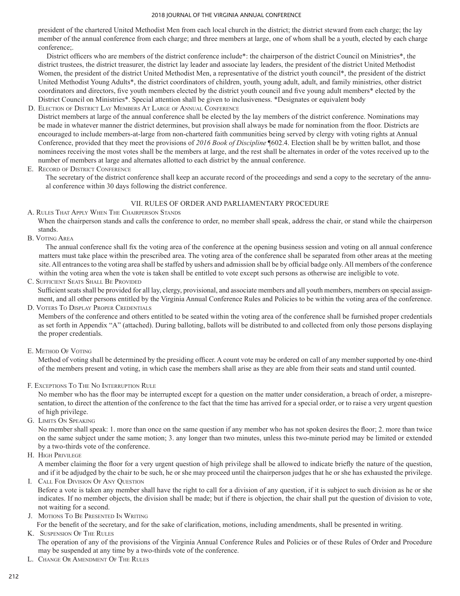president of the chartered United Methodist Men from each local church in the district; the district steward from each charge; the lay member of the annual conference from each charge; and three members at large, one of whom shall be a youth, elected by each charge conference;.

District officers who are members of the district conference include\*: the chairperson of the district Council on Ministries\*, the district trustees, the district treasurer, the district lay leader and associate lay leaders, the president of the district United Methodist Women, the president of the district United Methodist Men, a representative of the district youth council\*, the president of the district United Methodist Young Adults\*, the district coordinators of children, youth, young adult, adult, and family ministries, other district coordinators and directors, five youth members elected by the district youth council and five young adult members\* elected by the District Council on Ministries\*. Special attention shall be given to inclusiveness. \*Designates or equivalent body

## D. Election of District Lay Members At Large of Annual Conference

District members at large of the annual conference shall be elected by the lay members of the district conference. Nominations may be made in whatever manner the district determines, but provision shall always be made for nomination from the floor. Districts are encouraged to include members-at-large from non-chartered faith communities being served by clergy with voting rights at Annual Conference, provided that they meet the provisions of *2016 Book of Discipline* ¶602.4. Election shall be by written ballot, and those nominees receiving the most votes shall be the members at large, and the rest shall be alternates in order of the votes received up to the number of members at large and alternates allotted to each district by the annual conference.

## E. Record of District Conference

The secretary of the district conference shall keep an accurate record of the proceedings and send a copy to the secretary of the annual conference within 30 days following the district conference.

# VII. RULES OF ORDER AND PARLIAMENTARY PROCEDURE

A. Rules That Apply When The Chairperson Stands

When the chairperson stands and calls the conference to order, no member shall speak, address the chair, or stand while the chairperson stands.

B. Voting Area

The annual conference shall fix the voting area of the conference at the opening business session and voting on all annual conference matters must take place within the prescribed area. The voting area of the conference shall be separated from other areas at the meeting site. All entrances to the voting area shall be staffed by ushers and admission shall be by official badge only. All members of the conference within the voting area when the vote is taken shall be entitled to vote except such persons as otherwise are ineligible to vote.

## C. Sufficient Seats Shall Be Provided

Sufficient seats shall be provided for all lay, clergy, provisional, and associate members and all youth members, members on special assignment, and all other persons entitled by the Virginia Annual Conference Rules and Policies to be within the voting area of the conference.

### D. Voters To Display Proper Credentials

Members of the conference and others entitled to be seated within the voting area of the conference shall be furnished proper credentials as set forth in Appendix "A" (attached). During balloting, ballots will be distributed to and collected from only those persons displaying the proper credentials.

## E. Method Of Voting

Method of voting shall be determined by the presiding officer. A count vote may be ordered on call of any member supported by one-third of the members present and voting, in which case the members shall arise as they are able from their seats and stand until counted.

## F. Exceptions To The No Interruption Rule

No member who has the floor may be interrupted except for a question on the matter under consideration, a breach of order, a misrepresentation, to direct the attention of the conference to the fact that the time has arrived for a special order, or to raise a very urgent question of high privilege.

G. Limits On Speaking

No member shall speak: 1. more than once on the same question if any member who has not spoken desires the floor; 2. more than twice on the same subject under the same motion; 3. any longer than two minutes, unless this two-minute period may be limited or extended by a two-thirds vote of the conference.

H. High Privilege

A member claiming the floor for a very urgent question of high privilege shall be allowed to indicate briefly the nature of the question, and if it be adjudged by the chair to be such, he or she may proceed until the chairperson judges that he or she has exhausted the privilege.

I. Call For Division Of Any Question

Before a vote is taken any member shall have the right to call for a division of any question, if it is subject to such division as he or she indicates. If no member objects, the division shall be made; but if there is objection, the chair shall put the question of division to vote, not waiting for a second.

## J. Motions To Be Presented In Writing

For the benefit of the secretary, and for the sake of clarification, motions, including amendments, shall be presented in writing.

K. Suspension Of The Rules

The operation of any of the provisions of the Virginia Annual Conference Rules and Policies or of these Rules of Order and Procedure may be suspended at any time by a two-thirds vote of the conference.

L. Change Or Amendment Of The Rules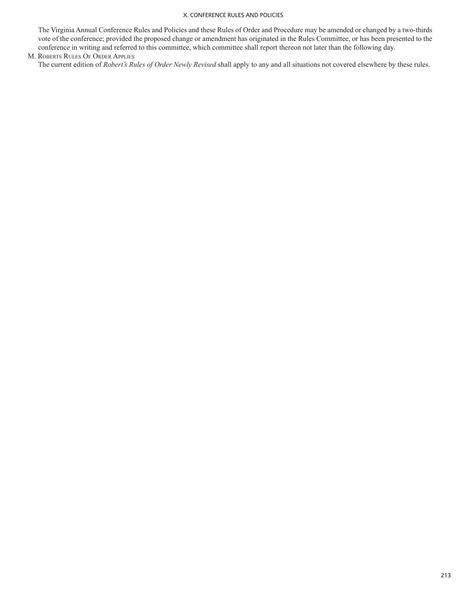The Virginia Annual Conference Rules and Policies and these Rules of Order and Procedure may be amended or changed by a two-thirds vote of the conference; provided the proposed change or amendment has originated in the Rules Committee, or has been presented to the conference in writing and referred to this committee, which committee shall report thereon not later than the following day.

### M. Roberts Rules Of Order Applies

The current edition of *Robert's Rules of Order Newly Revised* shall apply to any and all situations not covered elsewhere by these rules.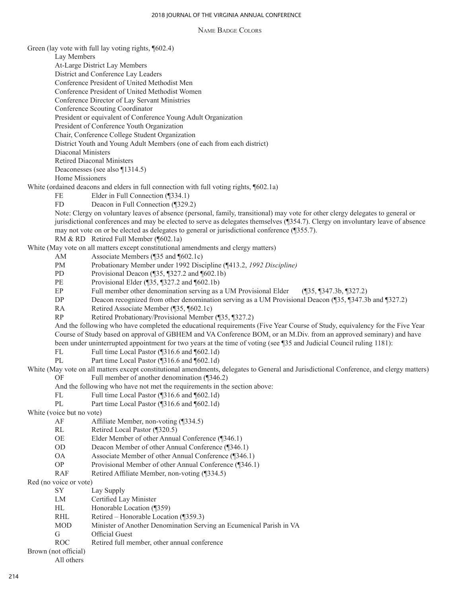Name Badge Colors

Green (lay vote with full lay voting rights, ¶602.4) Lay Members At-Large District Lay Members District and Conference Lay Leaders Conference President of United Methodist Men Conference President of United Methodist Women Conference Director of Lay Servant Ministries Conference Scouting Coordinator President or equivalent of Conference Young Adult Organization President of Conference Youth Organization Chair, Conference College Student Organization District Youth and Young Adult Members (one of each from each district) Diaconal Ministers Retired Diaconal Ministers Deaconesses (see also ¶1314.5) Home Missioners White (ordained deacons and elders in full connection with full voting rights, ¶602.1a) FE Elder in Full Connection (¶334.1) FD Deacon in Full Connection (¶329.2) Note: Clergy on voluntary leaves of absence (personal, family, transitional) may vote for other clergy delegates to general or jurisdictional conferences and may be elected to serve as delegates themselves (¶354.7). Clergy on involuntary leave of absence may not vote on or be elected as delegates to general or jurisdictional conference (¶355.7). RM & RD Retired Full Member (¶602.1a) White (May vote on all matters except constitutional amendments and clergy matters) AM Associate Members (¶35 and ¶602.1c) PM Probationary Member under 1992 Discipline (¶413.2, *1992 Discipline)* PD Provisional Deacon (¶35, ¶327.2 and ¶602.1b) PE Provisional Elder (¶35, ¶327.2 and ¶602.1b) EP Full member other denomination serving as a UM Provisional Elder (¶35, ¶347.3b, ¶327.2)<br>DP Deacon recognized from other denomination serving as a UM Provisional Deacon (¶35, ¶347.3) Deacon recognized from other denomination serving as a UM Provisional Deacon (¶35, ¶347.3b and ¶327.2) RA Retired Associate Member (¶35, ¶602.1c) RP Retired Probationary/Provisional Member (¶35, ¶327.2) And the following who have completed the educational requirements (Five Year Course of Study, equivalency for the Five Year Course of Study based on approval of GBHEM and VA Conference BOM, or an M.Div. from an approved seminary) and have been under uninterrupted appointment for two years at the time of voting (see ¶35 and Judicial Council ruling 1181): FL Full time Local Pastor (¶316.6 and ¶602.1d) PL Part time Local Pastor (¶316.6 and ¶602.1d) White (May vote on all matters except constitutional amendments, delegates to General and Jurisdictional Conference, and clergy matters) OF Full member of another denomination (¶346.2) And the following who have not met the requirements in the section above: FL Full time Local Pastor (¶316.6 and ¶602.1d) PL Part time Local Pastor (¶316.6 and ¶602.1d) White (voice but no vote) AF Affiliate Member, non-voting (¶334.5) RL Retired Local Pastor (¶320.5)<br>OE Elder Member of other Annua Elder Member of other Annual Conference (¶346.1) OD Deacon Member of other Annual Conference (¶346.1) OA Associate Member of other Annual Conference (¶346.1) OP Provisional Member of other Annual Conference (¶346.1) RAF Retired Affiliate Member, non-voting (¶334.5) Red (no voice or vote) SY Lay Supply LM Certified Lay Minister HL Honorable Location (¶359) RHL Retired – Honorable Location (¶359.3)<br>MOD Minister of Another Denomination Serv Minister of Another Denomination Serving an Ecumenical Parish in VA G Official Guest ROC Retired full member, other annual conference Brown (not official)

All others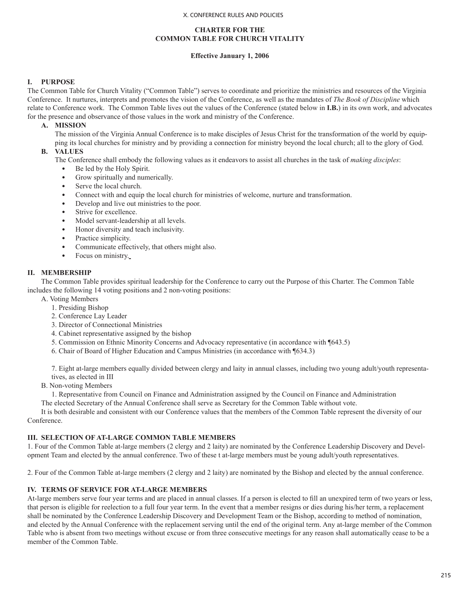## **CHARTER FOR THE COMMON TABLE FOR CHURCH VITALITY**

## **Effective January 1, 2006**

# **I. PURPOSE**

The Common Table for Church Vitality ("Common Table") serves to coordinate and prioritize the ministries and resources of the Virginia Conference. It nurtures, interprets and promotes the vision of the Conference, as well as the mandates of *The Book of Discipline* which relate to Conference work. The Common Table lives out the values of the Conference (stated below in **I.B.**) in its own work, and advocates for the presence and observance of those values in the work and ministry of the Conference.

## **A. MISSION**

The mission of the Virginia Annual Conference is to make disciples of Jesus Christ for the transformation of the world by equipping its local churches for ministry and by providing a connection for ministry beyond the local church; all to the glory of God.

## **B. VALUES**

The Conference shall embody the following values as it endeavors to assist all churches in the task of *making disciples*:

- Be led by the Holy Spirit.
- Grow spiritually and numerically.
- Serve the local church.
- Connect with and equip the local church for ministries of welcome, nurture and transformation.
- Develop and live out ministries to the poor.
- Strive for excellence.
- Model servant-leadership at all levels.
- Honor diversity and teach inclusivity.
- Practice simplicity.
- Communicate effectively, that others might also.
- Focus on ministry.

## **II. MEMBERSHIP**

The Common Table provides spiritual leadership for the Conference to carry out the Purpose of this Charter. The Common Table includes the following 14 voting positions and 2 non-voting positions:

- A. Voting Members
	- 1. Presiding Bishop
	- 2. Conference Lay Leader
	- 3. Director of Connectional Ministries
	- 4. Cabinet representative assigned by the bishop
	- 5. Commission on Ethnic Minority Concerns and Advocacy representative (in accordance with ¶643.5)
	- 6. Chair of Board of Higher Education and Campus Ministries (in accordance with ¶634.3)

7. Eight at-large members equally divided between clergy and laity in annual classes, including two young adult/youth representatives, as elected in III

B. Non-voting Members

1. Representative from Council on Finance and Administration assigned by the Council on Finance and Administration The elected Secretary of the Annual Conference shall serve as Secretary for the Common Table without vote.

It is both desirable and consistent with our Conference values that the members of the Common Table represent the diversity of our Conference.

## **III. SELECTION OF AT-LARGE COMMON TABLE MEMBERS**

1. Four of the Common Table at-large members (2 clergy and 2 laity) are nominated by the Conference Leadership Discovery and Development Team and elected by the annual conference. Two of these t at-large members must be young adult/youth representatives.

2. Four of the Common Table at-large members (2 clergy and 2 laity) are nominated by the Bishop and elected by the annual conference.

## **IV. TERMS OF SERVICE FOR AT-LARGE MEMBERS**

At-large members serve four year terms and are placed in annual classes. If a person is elected to fill an unexpired term of two years or less, that person is eligible for reelection to a full four year term. In the event that a member resigns or dies during his/her term, a replacement shall be nominated by the Conference Leadership Discovery and Development Team or the Bishop, according to method of nomination, and elected by the Annual Conference with the replacement serving until the end of the original term. Any at-large member of the Common Table who is absent from two meetings without excuse or from three consecutive meetings for any reason shall automatically cease to be a member of the Common Table.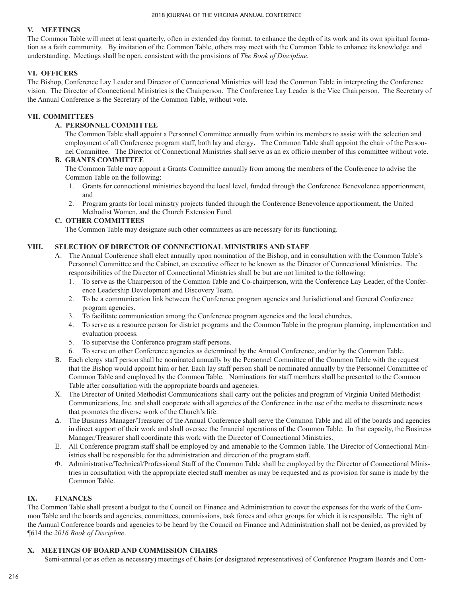# **V. MEETINGS**

The Common Table will meet at least quarterly, often in extended day format, to enhance the depth of its work and its own spiritual formation as a faith community. By invitation of the Common Table, others may meet with the Common Table to enhance its knowledge and understanding. Meetings shall be open, consistent with the provisions of *The Book of Discipline.* 

# **VI. OFFICERS**

The Bishop, Conference Lay Leader and Director of Connectional Ministries will lead the Common Table in interpreting the Conference vision. The Director of Connectional Ministries is the Chairperson. The Conference Lay Leader is the Vice Chairperson. The Secretary of the Annual Conference is the Secretary of the Common Table, without vote.

# **VII. COMMITTEES**

# **A. PERSONNEL COMMITTEE**

The Common Table shall appoint a Personnel Committee annually from within its members to assist with the selection and employment of all Conference program staff, both lay and clergy**.** The Common Table shall appoint the chair of the Personnel Committee. The Director of Connectional Ministries shall serve as an ex officio member of this committee without vote.

# **B. GRANTS COMMITTEE**

The Common Table may appoint a Grants Committee annually from among the members of the Conference to advise the Common Table on the following:

- 1. Grants for connectional ministries beyond the local level, funded through the Conference Benevolence apportionment, and
- 2. Program grants for local ministry projects funded through the Conference Benevolence apportionment, the United Methodist Women, and the Church Extension Fund.

## **C. OTHER COMMITTEES**

The Common Table may designate such other committees as are necessary for its functioning.

## **VIII. SELECTION OF DIRECTOR OF CONNECTIONAL MINISTRIES AND STAFF**

- A. The Annual Conference shall elect annually upon nomination of the Bishop, and in consultation with the Common Table's Personnel Committee and the Cabinet, an executive officer to be known as the Director of Connectional Ministries. The responsibilities of the Director of Connectional Ministries shall be but are not limited to the following:
	- 1. To serve as the Chairperson of the Common Table and Co-chairperson, with the Conference Lay Leader, of the Conference Leadership Development and Discovery Team.
	- 2. To be a communication link between the Conference program agencies and Jurisdictional and General Conference program agencies.
	- 3. To facilitate communication among the Conference program agencies and the local churches.
	- 4. To serve as a resource person for district programs and the Common Table in the program planning, implementation and evaluation process.
	- 5. To supervise the Conference program staff persons.
	- 6. To serve on other Conference agencies as determined by the Annual Conference, and/or by the Common Table.
- B. Each clergy staff person shall be nominated annually by the Personnel Committee of the Common Table with the request that the Bishop would appoint him or her. Each lay staff person shall be nominated annually by the Personnel Committee of Common Table and employed by the Common Table.Nominations for staff members shall be presented to the Common Table after consultation with the appropriate boards and agencies.
- X. The Director of United Methodist Communications shall carry out the policies and program of Virginia United Methodist Communications, Inc. and shall cooperate with all agencies of the Conference in the use of the media to disseminate news that promotes the diverse work of the Church's life.
- $\Delta$ . The Business Manager/Treasurer of the Annual Conference shall serve the Common Table and all of the boards and agencies in direct support of their work and shall oversee the financial operations of the Common Table. In that capacity, the Business Manager/Treasurer shall coordinate this work with the Director of Connectional Ministries.
- E. All Conference program staff shall be employed by and amenable to the Common Table. The Director of Connectional Ministries shall be responsible for the administration and direction of the program staff.
- $\Phi$ . Administrative/Technical/Professional Staff of the Common Table shall be employed by the Director of Connectional Ministries in consultation with the appropriate elected staff member as may be requested and as provision for same is made by the Common Table.

## **IX. FINANCES**

The Common Table shall present a budget to the Council on Finance and Administration to cover the expenses for the work of the Common Table and the boards and agencies, committees, commissions, task forces and other groups for which it is responsible. The right of the Annual Conference boards and agencies to be heard by the Council on Finance and Administration shall not be denied, as provided by ¶614 the *2016 Book of Discipline*.

# **X. MEETINGS OF BOARD AND COMMISSION CHAIRS**

Semi-annual (or as often as necessary) meetings of Chairs (or designated representatives) of Conference Program Boards and Com-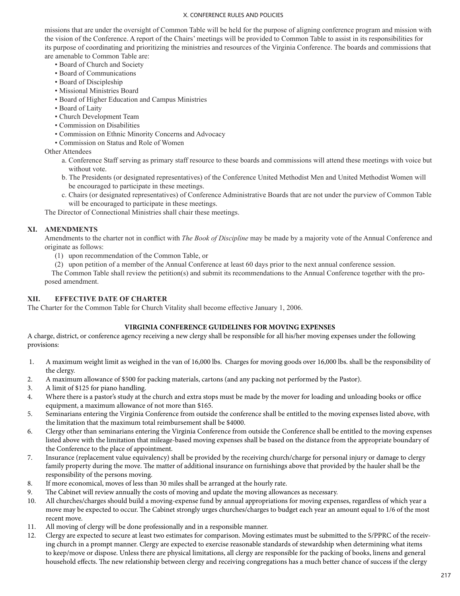missions that are under the oversight of Common Table will be held for the purpose of aligning conference program and mission with the vision of the Conference. A report of the Chairs' meetings will be provided to Common Table to assist in its responsibilities for its purpose of coordinating and prioritizing the ministries and resources of the Virginia Conference. The boards and commissions that are amenable to Common Table are:

- Board of Church and Society
- Board of Communications
- Board of Discipleship
- Missional Ministries Board
- Board of Higher Education and Campus Ministries
- Board of Laity
- Church Development Team
- Commission on Disabilities
- Commission on Ethnic Minority Concerns and Advocacy
- Commission on Status and Role of Women

Other Attendees

- a. Conference Staff serving as primary staff resource to these boards and commissions will attend these meetings with voice but without vote.
- b. The Presidents (or designated representatives) of the Conference United Methodist Men and United Methodist Women will be encouraged to participate in these meetings.
- c. Chairs (or designated representatives) of Conference Administrative Boards that are not under the purview of Common Table will be encouraged to participate in these meetings.

The Director of Connectional Ministries shall chair these meetings.

## **XI. AMENDMENTS**

Amendments to the charter not in conflict with *The Book of Discipline* may be made by a majority vote of the Annual Conference and originate as follows:

- (1) upon recommendation of the Common Table, or
- (2) upon petition of a member of the Annual Conference at least 60 days prior to the next annual conference session.

The Common Table shall review the petition(s) and submit its recommendations to the Annual Conference together with the proposed amendment.

# **XII. EFFECTIVE DATE OF CHARTER**

The Charter for the Common Table for Church Vitality shall become effective January 1, 2006.

## **VIRGINIA CONFERENCE GUIDELINES FOR MOVING EXPENSES**

A charge, district, or conference agency receiving a new clergy shall be responsible for all his/her moving expenses under the following provisions:

- 1. A maximum weight limit as weighed in the van of 16,000 lbs. Charges for moving goods over 16,000 lbs. shall be the responsibility of the clergy.
- 2. A maximum allowance of \$500 for packing materials, cartons (and any packing not performed by the Pastor).
- 3. A limit of \$125 for piano handling.
- 4. Where there is a pastor's study at the church and extra stops must be made by the mover for loading and unloading books or office equipment, a maximum allowance of not more than \$165.
- 5. Seminarians entering the Virginia Conference from outside the conference shall be entitled to the moving expenses listed above, with the limitation that the maximum total reimbursement shall be \$4000.
- 6. Clergy other than seminarians entering the Virginia Conference from outside the Conference shall be entitled to the moving expenses listed above with the limitation that mileage-based moving expenses shall be based on the distance from the appropriate boundary of the Conference to the place of appointment.
- 7. Insurance (replacement value equivalency) shall be provided by the receiving church/charge for personal injury or damage to clergy family property during the move. The matter of additional insurance on furnishings above that provided by the hauler shall be the responsibility of the persons moving.
- 8. If more economical, moves of less than 30 miles shall be arranged at the hourly rate.
- 9. The Cabinet will review annually the costs of moving and update the moving allowances as necessary.
- 10. All churches/charges should build a moving-expense fund by annual appropriations for moving expenses, regardless of which year a move may be expected to occur. The Cabinet strongly urges churches/charges to budget each year an amount equal to 1/6 of the most recent move.
- 11. All moving of clergy will be done professionally and in a responsible manner.
- 12. Clergy are expected to secure at least two estimates for comparison. Moving estimates must be submitted to the S/PPRC of the receiving church in a prompt manner. Clergy are expected to exercise reasonable standards of stewardship when determining what items to keep/move or dispose. Unless there are physical limitations, all clergy are responsible for the packing of books, linens and general household effects. The new relationship between clergy and receiving congregations has a much better chance of success if the clergy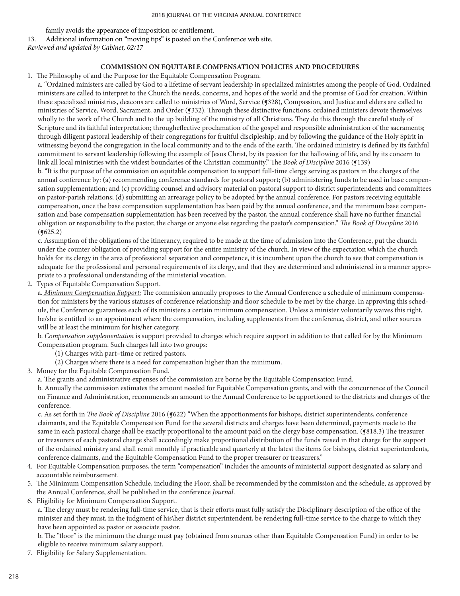family avoids the appearance of imposition or entitlement.

13. Additional information on "moving tips" is posted on the Conference web site.

*Reviewed and updated by Cabinet, 02/17*

## **COMMISSION ON EQUITABLE COMPENSATION POLICIES AND PROCEDURES**

1. The Philosophy of and the Purpose for the Equitable Compensation Program.

a. "Ordained ministers are called by God to a lifetime of servant leadership in specialized ministries among the people of God. Ordained ministers are called to interpret to the Church the needs, concerns, and hopes of the world and the promise of God for creation. Within these specialized ministries, deacons are called to ministries of Word, Service (¶328), Compassion, and Justice and elders are called to ministries of Service, Word, Sacrament, and Order (§332). Through these distinctive functions, ordained ministers devote themselves wholly to the work of the Church and to the up building of the ministry of all Christians. They do this through the careful study of Scripture and its faithful interpretation; througheffective proclamation of the gospel and responsible administration of the sacraments; through diligent pastoral leadership of their congregations for fruitful discipleship; and by following the guidance of the Holy Spirit in witnessing beyond the congregation in the local community and to the ends of the earth. The ordained ministry is defined by its faithful commitment to servant leadership following the example of Jesus Christ, by its passion for the hallowing of life, and by its concern to link all local ministries with the widest boundaries of the Christian community." The *Book of Discipline* 2016 (¶139)

b. "It is the purpose of the commission on equitable compensation to support full-time clergy serving as pastors in the charges of the annual conference by: (a) recommending conference standards for pastoral support; (b) administering funds to be used in base compensation supplementation; and (c) providing counsel and advisory material on pastoral support to district superintendents and committees on pastor-parish relations; (d) submitting an arrearage policy to be adopted by the annual conference. For pastors receiving equitable compensation, once the base compensation supplementation has been paid by the annual conference, and the minimum base compensation and base compensation supplementation has been received by the pastor, the annual conference shall have no further financial obligation or responsibility to the pastor, the charge or anyone else regarding the pastor's compensation." *The Book of Discipline* 2016  $($ **(** $625.2)$ )

c. Assumption of the obligations of the itinerancy, required to be made at the time of admission into the Conference, put the church under the counter obligation of providing support for the entire ministry of the church. In view of the expectation which the church holds for its clergy in the area of professional separation and competence, it is incumbent upon the church to see that compensation is adequate for the professional and personal requirements of its clergy, and that they are determined and administered in a manner appropriate to a professional understanding of the ministerial vocation.

2. Types of Equitable Compensation Support.

a. *Minimum Compensation Support:* The commission annually proposes to the Annual Conference a schedule of minimum compensation for ministers by the various statuses of conference relationship and floor schedule to be met by the charge. In approving this schedule, the Conference guarantees each of its ministers a certain minimum compensation. Unless a minister voluntarily waives this right, he/she is entitled to an appointment where the compensation, including supplements from the conference, district, and other sources will be at least the minimum for his/her category.

b. *Compensation supplementation* is support provided to charges which require support in addition to that called for by the Minimum Compensation program. Such charges fall into two groups:

- (1) Charges with part–time or retired pastors.
- (2) Charges where there is a need for compensation higher than the minimum.
- 3. Money for the Equitable Compensation Fund.
	- a. The grants and administrative expenses of the commission are borne by the Equitable Compensation Fund.

b. Annually the commission estimates the amount needed for Equitable Compensation grants, and with the concurrence of the Council on Finance and Administration, recommends an amount to the Annual Conference to be apportioned to the districts and charges of the conference.

c. As set forth in *The Book of Discipline* 2016 (§622) "When the apportionments for bishops, district superintendents, conference claimants, and the Equitable Compensation Fund for the several districts and charges have been determined, payments made to the same in each pastoral charge shall be exactly proportional to the amount paid on the clergy base compensation. (§818.3) The treasurer or treasurers of each pastoral charge shall accordingly make proportional distribution of the funds raised in that charge for the support of the ordained ministry and shall remit monthly if practicable and quarterly at the latest the items for bishops, district superintendents, conference claimants, and the Equitable Compensation Fund to the proper treasurer or treasurers."

- 4. For Equitable Compensation purposes, the term "compensation" includes the amounts of ministerial support designated as salary and accountable reimbursement.
- 5. The Minimum Compensation Schedule, including the Floor, shall be recommended by the commission and the schedule, as approved by the Annual Conference, shall be published in the conference *Journal*.
- 6. Eligibility for Minimum Compensation Support.

a. The clergy must be rendering full-time service, that is their efforts must fully satisfy the Disciplinary description of the office of the minister and they must, in the judgment of his\her district superintendent, be rendering full-time service to the charge to which they have been appointed as pastor or associate pastor.

b. The "floor" is the minimum the charge must pay (obtained from sources other than Equitable Compensation Fund) in order to be eligible to receive minimum salary support.

7. Eligibility for Salary Supplementation.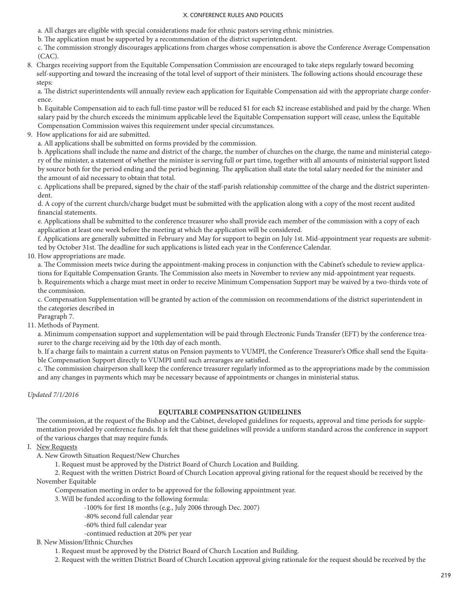a. All charges are eligible with special considerations made for ethnic pastors serving ethnic ministries.

b. The application must be supported by a recommendation of the district superintendent.

c. The commission strongly discourages applications from charges whose compensation is above the Conference Average Compensation (CAC).

8. Charges receiving support from the Equitable Compensation Commission are encouraged to take steps regularly toward becoming self-supporting and toward the increasing of the total level of support of their ministers. The following actions should encourage these steps:

a. The district superintendents will annually review each application for Equitable Compensation aid with the appropriate charge conference.

b. Equitable Compensation aid to each full-time pastor will be reduced \$1 for each \$2 increase established and paid by the charge. When salary paid by the church exceeds the minimum applicable level the Equitable Compensation support will cease, unless the Equitable Compensation Commission waives this requirement under special circumstances.

9. How applications for aid are submitted.

a. All applications shall be submitted on forms provided by the commission.

b. Applications shall include the name and district of the charge, the number of churches on the charge, the name and ministerial category of the minister, a statement of whether the minister is serving full or part time, together with all amounts of ministerial support listed by source both for the period ending and the period beginning. The application shall state the total salary needed for the minister and the amount of aid necessary to obtain that total.

c. Applications shall be prepared, signed by the chair of the staff-parish relationship committee of the charge and the district superintendent.

d. A copy of the current church/charge budget must be submitted with the application along with a copy of the most recent audited financial statements.

e. Applications shall be submitted to the conference treasurer who shall provide each member of the commission with a copy of each application at least one week before the meeting at which the application will be considered.

f. Applications are generally submitted in February and May for support to begin on July 1st. Mid-appointment year requests are submitted by October 31st. The deadline for such applications is listed each year in the Conference Calendar.

10. How appropriations are made.

a. The Commission meets twice during the appointment-making process in conjunction with the Cabinet's schedule to review applications for Equitable Compensation Grants. The Commission also meets in November to review any mid-appointment year requests. b. Requirements which a charge must meet in order to receive Minimum Compensation Support may be waived by a two-thirds vote of the commission.

c. Compensation Supplementation will be granted by action of the commission on recommendations of the district superintendent in the categories described in

Paragraph 7.

11. Methods of Payment.

a. Minimum compensation support and supplementation will be paid through Electronic Funds Transfer (EFT) by the conference treasurer to the charge receiving aid by the 10th day of each month.

b. If a charge fails to maintain a current status on Pension payments to VUMPI, the Conference Treasurer's Office shall send the Equitable Compensation Support directly to VUMPI until such arrearages are satisfied.

c. The commission chairperson shall keep the conference treasurer regularly informed as to the appropriations made by the commission and any changes in payments which may be necessary because of appointments or changes in ministerial status.

## *Updated 7/1/2016*

### **EQUITABLE COMPENSATION GUIDELINES**

The commission, at the request of the Bishop and the Cabinet, developed guidelines for requests, approval and time periods for supplementation provided by conference funds. It is felt that these guidelines will provide a uniform standard across the conference in support of the various charges that may require funds.

## I. New Requests

A. New Growth Situation Request/New Churches

1. Request must be approved by the District Board of Church Location and Building.

 2. Request with the written District Board of Church Location approval giving rational for the request should be received by the November Equitable

Compensation meeting in order to be approved for the following appointment year.

- 3. Will be funded according to the following formula:
	- -100% for first 18 months (e.g., July 2006 through Dec. 2007)
	- -80% second full calendar year
	- -60% third full calendar year
	- -continued reduction at 20% per year

### B. New Mission/Ethnic Churches

- 1. Request must be approved by the District Board of Church Location and Building.
- 2. Request with the written District Board of Church Location approval giving rationale for the request should be received by the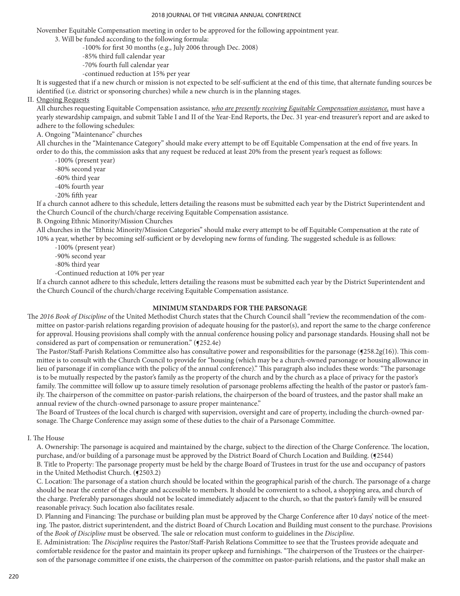November Equitable Compensation meeting in order to be approved for the following appointment year.

3. Will be funded according to the following formula:

-100% for first 30 months (e.g., July 2006 through Dec. 2008)

- -85% third full calendar year
- -70% fourth full calendar year
- -continued reduction at 15% per year

It is suggested that if a new church or mission is not expected to be self-sufficient at the end of this time, that alternate funding sources be identified (i.e. district or sponsoring churches) while a new church is in the planning stages.

## II. Ongoing Requests

All churches requesting Equitable Compensation assistance, *who are presently receiving Equitable Compensation assistance,* must have a yearly stewardship campaign, and submit Table I and II of the Year-End Reports, the Dec. 31 year-end treasurer's report and are asked to adhere to the following schedules:

# A. Ongoing "Maintenance" churches

All churches in the "Maintenance Category" should make every attempt to be off Equitable Compensation at the end of five years. In order to do this, the commission asks that any request be reduced at least 20% from the present year's request as follows:

-100% (present year)

-80% second year

-60% third year

- -40% fourth year
- -20% fifth year

If a church cannot adhere to this schedule, letters detailing the reasons must be submitted each year by the District Superintendent and the Church Council of the church/charge receiving Equitable Compensation assistance.

B. Ongoing Ethnic Minority/Mission Churches

All churches in the "Ethnic Minority/Mission Categories" should make every attempt to be off Equitable Compensation at the rate of 10% a year, whether by becoming self-sufficient or by developing new forms of funding. The suggested schedule is as follows:

-100% (present year)

-90% second year

-80% third year

-Continued reduction at 10% per year

If a church cannot adhere to this schedule, letters detailing the reasons must be submitted each year by the District Superintendent and the Church Council of the church/charge receiving Equitable Compensation assistance.

### **MINIMUM STANDARDS FOR THE PARSONAGE**

The *2016 Book of Discipline* of the United Methodist Church states that the Church Council shall "review the recommendation of the committee on pastor-parish relations regarding provision of adequate housing for the pastor(s), and report the same to the charge conference for approval. Housing provisions shall comply with the annual conference housing policy and parsonage standards. Housing shall not be considered as part of compensation or remuneration." ( $(252.4e)$ 

The Pastor/Staff-Parish Relations Committee also has consultative power and responsibilities for the parsonage (¶258.2g(16)). This committee is to consult with the Church Council to provide for "housing (which may be a church-owned parsonage or housing allowance in lieu of parsonage if in compliance with the policy of the annual conference)." This paragraph also includes these words: "The parsonage is to be mutually respected by the pastor's family as the property of the church and by the church as a place of privacy for the pastor's family. The committee will follow up to assure timely resolution of parsonage problems affecting the health of the pastor or pastor's family. The chairperson of the committee on pastor-parish relations, the chairperson of the board of trustees, and the pastor shall make an annual review of the church-owned parsonage to assure proper maintenance."

The Board of Trustees of the local church is charged with supervision, oversight and care of property, including the church-owned parsonage. The Charge Conference may assign some of these duties to the chair of a Parsonage Committee.

I. The House

A. Ownership: The parsonage is acquired and maintained by the charge, subject to the direction of the Charge Conference. The location, purchase, and/or building of a parsonage must be approved by the District Board of Church Location and Building. (¶2544) B. Title to Property: The parsonage property must be held by the charge Board of Trustees in trust for the use and occupancy of pastors in the United Methodist Church. (¶2503.2)

C. Location: The parsonage of a station church should be located within the geographical parish of the church. The parsonage of a charge should be near the center of the charge and accessible to members. It should be convenient to a school, a shopping area, and church of the charge. Preferably parsonages should not be located immediately adjacent to the church, so that the pastor's family will be ensured reasonable privacy. Such location also facilitates resale.

D. Planning and Financing: The purchase or building plan must be approved by the Charge Conference after 10 days' notice of the meeting. The pastor, district superintendent, and the district Board of Church Location and Building must consent to the purchase. Provisions of the *Book of Discipline* must be observed. The sale or relocation must conform to guidelines in the *Discipline*.

E. Administration: The *Discipline* requires the Pastor/Staff-Parish Relations Committee to see that the Trustees provide adequate and comfortable residence for the pastor and maintain its proper upkeep and furnishings. "The chairperson of the Trustees or the chairperson of the parsonage committee if one exists, the chairperson of the committee on pastor-parish relations, and the pastor shall make an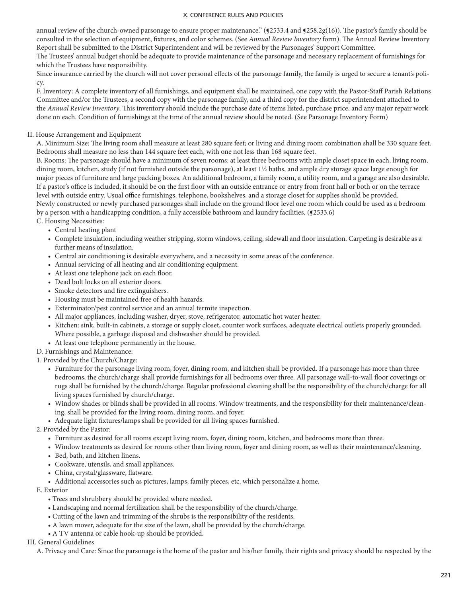annual review of the church-owned parsonage to ensure proper maintenance." (¶2533.4 and ¶258.2g(16)). The pastor's family should be consulted in the selection of equipment, fixtures, and color schemes. (See *Annual Review Inventory* form). The Annual Review Inventory Report shall be submitted to the District Superintendent and will be reviewed by the Parsonages' Support Committee.

The Trustees' annual budget should be adequate to provide maintenance of the parsonage and necessary replacement of furnishings for which the Trustees have responsibility.

Since insurance carried by the church will not cover personal effects of the parsonage family, the family is urged to secure a tenant's policy.

F. Inventory: A complete inventory of all furnishings, and equipment shall be maintained, one copy with the Pastor-Staff Parish Relations Committee and/or the Trustees, a second copy with the parsonage family, and a third copy for the district superintendent attached to the *Annual Review Inventory*. This inventory should include the purchase date of items listed, purchase price, and any major repair work done on each. Condition of furnishings at the time of the annual review should be noted. (See Parsonage Inventory Form)

## II. House Arrangement and Equipment

A. Minimum Size: The living room shall measure at least 280 square feet; or living and dining room combination shall be 330 square feet. Bedrooms shall measure no less than 144 square feet each, with one not less than 168 square feet.

B. Rooms: The parsonage should have a minimum of seven rooms: at least three bedrooms with ample closet space in each, living room, dining room, kitchen, study (if not furnished outside the parsonage), at least 1½ baths, and ample dry storage space large enough for major pieces of furniture and large packing boxes. An additional bedroom, a family room, a utility room, and a garage are also desirable. If a pastor's office is included, it should be on the first floor with an outside entrance or entry from front hall or both or on the terrace level with outside entry. Usual office furnishings, telephone, bookshelves, and a storage closet for supplies should be provided. Newly constructed or newly purchased parsonages shall include on the ground floor level one room which could be used as a bedroom by a person with a handicapping condition, a fully accessible bathroom and laundry facilities. (¶2533.6)

C. Housing Necessities:

- Central heating plant
- Complete insulation, including weather stripping, storm windows, ceiling, sidewall and floor insulation. Carpeting is desirable as a further means of insulation.
- Central air conditioning is desirable everywhere, and a necessity in some areas of the conference.
- Annual servicing of all heating and air conditioning equipment.
- At least one telephone jack on each floor.
- Dead bolt locks on all exterior doors.
- Smoke detectors and fire extinguishers.
- Housing must be maintained free of health hazards.
- Exterminator/pest control service and an annual termite inspection.
- All major appliances, including washer, dryer, stove, refrigerator, automatic hot water heater.
- Kitchen: sink, built-in cabinets, a storage or supply closet, counter work surfaces, adequate electrical outlets properly grounded. Where possible, a garbage disposal and dishwasher should be provided.
- At least one telephone permanently in the house.

## D. Furnishings and Maintenance:

1. Provided by the Church/Charge:

- Furniture for the parsonage living room, foyer, dining room, and kitchen shall be provided. If a parsonage has more than three bedrooms, the church/charge shall provide furnishings for all bedrooms over three. All parsonage wall-to-wall floor coverings or rugs shall be furnished by the church/charge. Regular professional cleaning shall be the responsibility of the church/charge for all living spaces furnished by church/charge.
- Window shades or blinds shall be provided in all rooms. Window treatments, and the responsibility for their maintenance/cleaning, shall be provided for the living room, dining room, and foyer.
- Adequate light fixtures/lamps shall be provided for all living spaces furnished.

### 2. Provided by the Pastor:

- Furniture as desired for all rooms except living room, foyer, dining room, kitchen, and bedrooms more than three.
- Window treatments as desired for rooms other than living room, foyer and dining room, as well as their maintenance/cleaning.
- Bed, bath, and kitchen linens.
- Cookware, utensils, and small appliances.
- China, crystal/glassware, flatware.
- Additional accessories such as pictures, lamps, family pieces, etc. which personalize a home.

E. Exterior

- Trees and shrubbery should be provided where needed.
- Landscaping and normal fertilization shall be the responsibility of the church/charge.
- Cutting of the lawn and trimming of the shrubs is the responsibility of the residents.
- A lawn mover, adequate for the size of the lawn, shall be provided by the church/charge.
- A TV antenna or cable hook-up should be provided.

### III. General Guidelines

A. Privacy and Care: Since the parsonage is the home of the pastor and his/her family, their rights and privacy should be respected by the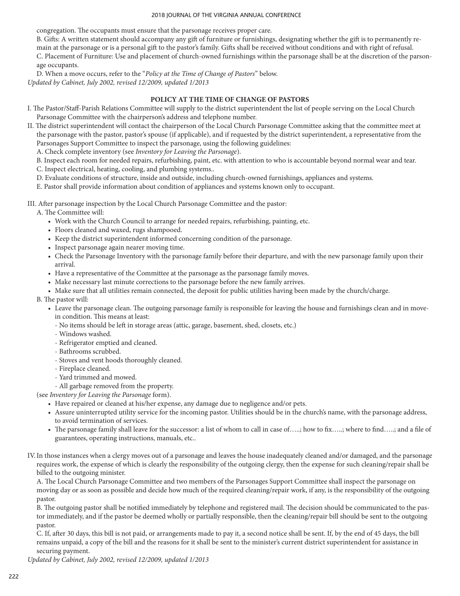congregation. The occupants must ensure that the parsonage receives proper care.

B. Gifts: A written statement should accompany any gift of furniture or furnishings, designating whether the gift is to permanently remain at the parsonage or is a personal gift to the pastor's family. Gifts shall be received without conditions and with right of refusal. C. Placement of Furniture: Use and placement of church-owned furnishings within the parsonage shall be at the discretion of the parsonage occupants.

D. When a move occurs, refer to the "*Policy at the Time of Change of Pastors*" below. *Updated by Cabinet, July 2002, revised 12/2009, updated 1/2013*

## **POLICY AT THE TIME OF CHANGE OF PASTORS**

- I. The Pastor/Staff-Parish Relations Committee will supply to the district superintendent the list of people serving on the Local Church Parsonage Committee with the chairperson's address and telephone number.
- II. The district superintendent will contact the chairperson of the Local Church Parsonage Committee asking that the committee meet at the parsonage with the pastor, pastor's spouse (if applicable), and if requested by the district superintendent, a representative from the Parsonages Support Committee to inspect the parsonage, using the following guidelines:

A. Check complete inventory (see *Inventory for Leaving the Parsonage*).

B. Inspect each room for needed repairs, refurbishing, paint, etc. with attention to who is accountable beyond normal wear and tear.

- C. Inspect electrical, heating, cooling, and plumbing systems..
- D. Evaluate conditions of structure, inside and outside, including church-owned furnishings, appliances and systems.

E. Pastor shall provide information about condition of appliances and systems known only to occupant.

III. After parsonage inspection by the Local Church Parsonage Committee and the pastor:

A. The Committee will:

- Work with the Church Council to arrange for needed repairs, refurbishing, painting, etc.
- Floors cleaned and waxed, rugs shampooed.
- Keep the district superintendent informed concerning condition of the parsonage.
- Inspect parsonage again nearer moving time.
- Check the Parsonage Inventory with the parsonage family before their departure, and with the new parsonage family upon their arrival.
- Have a representative of the Committee at the parsonage as the parsonage family moves.
- Make necessary last minute corrections to the parsonage before the new family arrives.
- Make sure that all utilities remain connected, the deposit for public utilities having been made by the church/charge.

### B. The pastor will:

- Leave the parsonage clean. The outgoing parsonage family is responsible for leaving the house and furnishings clean and in movein condition. This means at least:
	- No items should be left in storage areas (attic, garage, basement, shed, closets, etc.)
	- Windows washed.
	- Refrigerator emptied and cleaned.
	- Bathrooms scrubbed.
	- Stoves and vent hoods thoroughly cleaned.
	- Fireplace cleaned.
	- Yard trimmed and mowed.

# - All garbage removed from the property.

(see *Inventory for Leaving the Parsonage* form).

- Have repaired or cleaned at his/her expense, any damage due to negligence and/or pets.
- Assure uninterrupted utility service for the incoming pastor. Utilities should be in the church's name, with the parsonage address, to avoid termination of services.
- The parsonage family shall leave for the successor: a list of whom to call in case of…..; how to fix……; where to find……; and a file of guarantees, operating instructions, manuals, etc..
- IV.In those instances when a clergy moves out of a parsonage and leaves the house inadequately cleaned and/or damaged, and the parsonage requires work, the expense of which is clearly the responsibility of the outgoing clergy, then the expense for such cleaning/repair shall be billed to the outgoing minister.

A. The Local Church Parsonage Committee and two members of the Parsonages Support Committee shall inspect the parsonage on moving day or as soon as possible and decide how much of the required cleaning/repair work, if any, is the responsibility of the outgoing pastor.

B. The outgoing pastor shall be notified immediately by telephone and registered mail. The decision should be communicated to the pastor immediately, and if the pastor be deemed wholly or partially responsible, then the cleaning/repair bill should be sent to the outgoing pastor.

C. If, after 30 days, this bill is not paid, or arrangements made to pay it, a second notice shall be sent. If, by the end of 45 days, the bill remains unpaid, a copy of the bill and the reasons for it shall be sent to the minister's current district superintendent for assistance in securing payment.

*Updated by Cabinet, July 2002, revised 12/2009, updated 1/2013*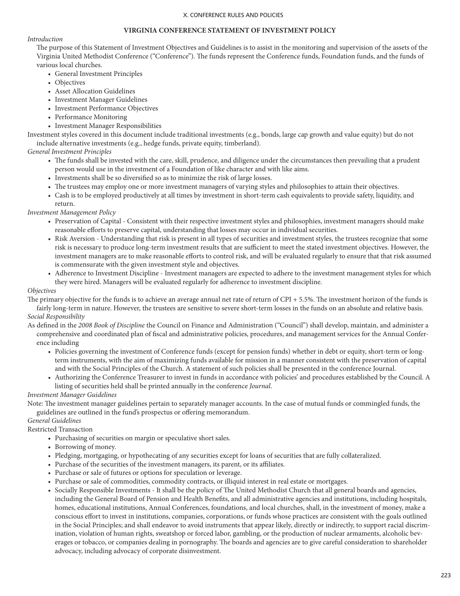#### **VIRGINIA CONFERENCE STATEMENT OF INVESTMENT POLICY**

## *Introduction*

The purpose of this Statement of Investment Objectives and Guidelines is to assist in the monitoring and supervision of the assets of the Virginia United Methodist Conference ("Conference"). The funds represent the Conference funds, Foundation funds, and the funds of various local churches.

- General Investment Principles
- Objectives
- Asset Allocation Guidelines
- Investment Manager Guidelines
- Investment Performance Objectives
- Performance Monitoring
- Investment Manager Responsibilities

Investment styles covered in this document include traditional investments (e.g., bonds, large cap growth and value equity) but do not include alternative investments (e.g., hedge funds, private equity, timberland).

## *General Investment Principles*

- The funds shall be invested with the care, skill, prudence, and diligence under the circumstances then prevailing that a prudent person would use in the investment of a Foundation of like character and with like aims.
- Investments shall be so diversified so as to minimize the risk of large losses.
- The trustees may employ one or more investment managers of varying styles and philosophies to attain their objectives.
- Cash is to be employed productively at all times by investment in short-term cash equivalents to provide safety, liquidity, and return.

*Investment Management Policy*

- Preservation of Capital Consistent with their respective investment styles and philosophies, investment managers should make reasonable efforts to preserve capital, understanding that losses may occur in individual securities.
- Risk Aversion Understanding that risk is present in all types of securities and investment styles, the trustees recognize that some risk is necessary to produce long-term investment results that are sufficient to meet the stated investment objectives. However, the investment managers are to make reasonable efforts to control risk, and will be evaluated regularly to ensure that that risk assumed is commensurate with the given investment style and objectives.
- Adherence to Investment Discipline Investment managers are expected to adhere to the investment management styles for which they were hired. Managers will be evaluated regularly for adherence to investment discipline.

### *Objectives*

The primary objective for the funds is to achieve an average annual net rate of return of CPI + 5.5%. The investment horizon of the funds is fairly long-term in nature. However, the trustees are sensitive to severe short-term losses in the funds on an absolute and relative basis.

### *Social Responsibility*

- As defined in the *2008 Book of Discipline* the Council on Finance and Administration ("Council") shall develop, maintain, and administer a comprehensive and coordinated plan of fiscal and administrative policies, procedures, and management services for the Annual Conference including
	- Policies governing the investment of Conference funds (except for pension funds) whether in debt or equity, short-term or longterm instruments, with the aim of maximizing funds available for mission in a manner consistent with the preservation of capital and with the Social Principles of the Church. A statement of such policies shall be presented in the conference Journal.
	- Authorizing the Conference Treasurer to invest in funds in accordance with policies' and procedures established by the Council. A listing of securities held shall be printed annually in the conference *Journal*.

## *Investment Manager Guidelines*

Note: The investment manager guidelines pertain to separately manager accounts. In the case of mutual funds or commingled funds, the guidelines are outlined in the fund's prospectus or offering memorandum.

*General Guidelines*

Restricted Transaction

- Purchasing of securities on margin or speculative short sales.
- Borrowing of money.
- Pledging, mortgaging, or hypothecating of any securities except for loans of securities that are fully collateralized.
- Purchase of the securities of the investment managers, its parent, or its affiliates.
- Purchase or sale of futures or options for speculation or leverage.
- Purchase or sale of commodities, commodity contracts, or illiquid interest in real estate or mortgages.
- Socially Responsible Investments It shall be the policy of The United Methodist Church that all general boards and agencies, including the General Board of Pension and Health Benefits, and all administrative agencies and institutions, including hospitals, homes, educational institutions, Annual Conferences, foundations, and local churches, shall, in the investment of money, make a conscious effort to invest in institutions, companies, corporations, or funds whose practices are consistent with the goals outlined in the Social Principles; and shall endeavor to avoid instruments that appear likely, directly or indirectly, to support racial discrimination, violation of human rights, sweatshop or forced labor, gambling, or the production of nuclear armaments, alcoholic beverages or tobacco, or companies dealing in pornography. The boards and agencies are to give careful consideration to shareholder advocacy, including advocacy of corporate disinvestment.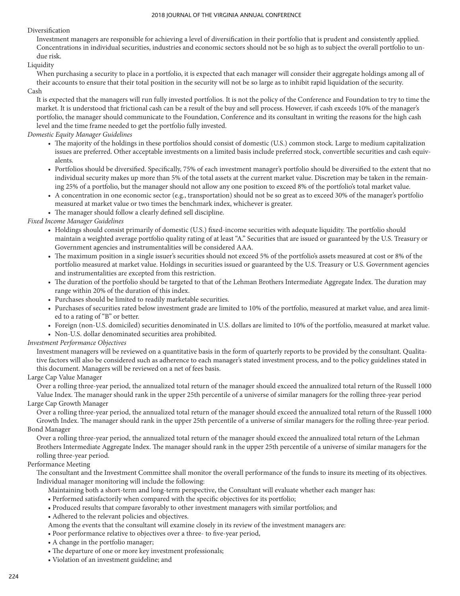### Diversification

Investment managers are responsible for achieving a level of diversification in their portfolio that is prudent and consistently applied. Concentrations in individual securities, industries and economic sectors should not be so high as to subject the overall portfolio to undue risk.

## Liquidity

When purchasing a security to place in a portfolio, it is expected that each manager will consider their aggregate holdings among all of their accounts to ensure that their total position in the security will not be so large as to inhibit rapid liquidation of the security.

## Cash

It is expected that the managers will run fully invested portfolios. It is not the policy of the Conference and Foundation to try to time the market. It is understood that frictional cash can be a result of the buy and sell process. However, if cash exceeds 10% of the manager's portfolio, the manager should communicate to the Foundation, Conference and its consultant in writing the reasons for the high cash level and the time frame needed to get the portfolio fully invested.

## *Domestic Equity Manager Guidelines*

- The majority of the holdings in these portfolios should consist of domestic (U.S.) common stock. Large to medium capitalization issues are preferred. Other acceptable investments on a limited basis include preferred stock, convertible securities and cash equivalents.
- Portfolios should be diversified. Specifically, 75% of each investment manager's portfolio should be diversified to the extent that no individual security makes up more than 5% of the total assets at the current market value. Discretion may be taken in the remaining 25% of a portfolio, but the manager should not allow any one position to exceed 8% of the portfolio's total market value.
- A concentration in one economic sector (e.g., transportation) should not be so great as to exceed 30% of the manager's portfolio measured at market value or two times the benchmark index, whichever is greater.
- The manager should follow a clearly defined sell discipline.

## *Fixed Income Manager Guidelines*

- Holdings should consist primarily of domestic (U.S.) fixed-income securities with adequate liquidity. The portfolio should maintain a weighted average portfolio quality rating of at least "A." Securities that are issued or guaranteed by the U.S. Treasury or Government agencies and instrumentalities will be considered AAA.
- The maximum position in a single issuer's securities should not exceed 5% of the portfolio's assets measured at cost or 8% of the portfolio measured at market value. Holdings in securities issued or guaranteed by the U.S. Treasury or U.S. Government agencies and instrumentalities are excepted from this restriction.
- The duration of the portfolio should be targeted to that of the Lehman Brothers Intermediate Aggregate Index. The duration may range within 20% of the duration of this index.
- Purchases should be limited to readily marketable securities.
- Purchases of securities rated below investment grade are limited to 10% of the portfolio, measured at market value, and area limited to a rating of "B" or better.
- Foreign (non-U.S. domiciled) securities denominated in U.S. dollars are limited to 10% of the portfolio, measured at market value.
- Non-U.S. dollar denominated securities area prohibited.

### *Investment Performance Objectives*

Investment managers will be reviewed on a quantitative basis in the form of quarterly reports to be provided by the consultant. Qualitative factors will also be considered such as adherence to each manager's stated investment process, and to the policy guidelines stated in this document. Managers will be reviewed on a net of fees basis.

## Large Cap Value Manager

Over a rolling three-year period, the annualized total return of the manager should exceed the annualized total return of the Russell 1000 Value Index. The manager should rank in the upper 25th percentile of a universe of similar managers for the rolling three-year period Large Cap Growth Manager

Over a rolling three-year period, the annualized total return of the manager should exceed the annualized total return of the Russell 1000 Growth Index. The manager should rank in the upper 25th percentile of a universe of similar managers for the rolling three-year period. Bond Manager

Over a rolling three-year period, the annualized total return of the manager should exceed the annualized total return of the Lehman Brothers Intermediate Aggregate Index. The manager should rank in the upper 25th percentile of a universe of similar managers for the rolling three-year period.

### Performance Meeting

The consultant and the Investment Committee shall monitor the overall performance of the funds to insure its meeting of its objectives. Individual manager monitoring will include the following:

- Maintaining both a short-term and long-term perspective, the Consultant will evaluate whether each manger has:
- Performed satisfactorily when compared with the specific objectives for its portfolio;
- Produced results that compare favorably to other investment managers with similar portfolios; and
- Adhered to the relevant policies and objectives.
- Among the events that the consultant will examine closely in its review of the investment managers are:
- Poor performance relative to objectives over a three- to five-year period,
- A change in the portfolio manager;
- The departure of one or more key investment professionals;
- Violation of an investment guideline; and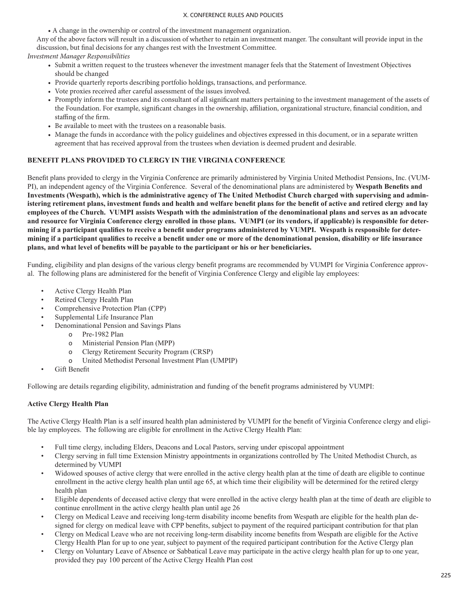• A change in the ownership or control of the investment management organization.

Any of the above factors will result in a discussion of whether to retain an investment manger. The consultant will provide input in the discussion, but final decisions for any changes rest with the Investment Committee.

*Investment Manager Responsibilities*

- Submit a written request to the trustees whenever the investment manager feels that the Statement of Investment Objectives should be changed
- Provide quarterly reports describing portfolio holdings, transactions, and performance.
- Vote proxies received after careful assessment of the issues involved.
- Promptly inform the trustees and its consultant of all significant matters pertaining to the investment management of the assets of the Foundation. For example, significant changes in the ownership, affiliation, organizational structure, financial condition, and staffing of the firm.
- Be available to meet with the trustees on a reasonable basis.
- Manage the funds in accordance with the policy guidelines and objectives expressed in this document, or in a separate written agreement that has received approval from the trustees when deviation is deemed prudent and desirable.

## **BENEFIT PLANS PROVIDED TO CLERGY IN THE VIRGINIA CONFERENCE**

Benefit plans provided to clergy in the Virginia Conference are primarily administered by Virginia United Methodist Pensions, Inc. (VUM-PI), an independent agency of the Virginia Conference. Several of the denominational plans are administered by **Wespath Benefits and Investments (Wespath), which is the administrative agency of The United Methodist Church charged with supervising and administering retirement plans, investment funds and health and welfare benefit plans for the benefit of active and retired clergy and lay employees of the Church. VUMPI assists Wespath with the administration of the denominational plans and serves as an advocate and resource for Virginia Conference clergy enrolled in those plans. VUMPI (or its vendors, if applicable) is responsible for determining if a participant qualifies to receive a benefit under programs administered by VUMPI. Wespath is responsible for determining if a participant qualifies to receive a benefit under one or more of the denominational pension, disability or life insurance plans, and what level of benefits will be payable to the participant or his or her beneficiaries.**

Funding, eligibility and plan designs of the various clergy benefit programs are recommended by VUMPI for Virginia Conference approval. The following plans are administered for the benefit of Virginia Conference Clergy and eligible lay employees:

- Active Clergy Health Plan
- Retired Clergy Health Plan
- Comprehensive Protection Plan (CPP)
- Supplemental Life Insurance Plan
- Denominational Pension and Savings Plans
	- o Pre-1982 Plan
	- o Ministerial Pension Plan (MPP)
	- o Clergy Retirement Security Program (CRSP)
	- o United Methodist Personal Investment Plan (UMPIP)
- Gift Benefit

Following are details regarding eligibility, administration and funding of the benefit programs administered by VUMPI:

## **Active Clergy Health Plan**

The Active Clergy Health Plan is a self insured health plan administered by VUMPI for the benefit of Virginia Conference clergy and eligible lay employees. The following are eligible for enrollment in the Active Clergy Health Plan:

- Full time clergy, including Elders, Deacons and Local Pastors, serving under episcopal appointment
- Clergy serving in full time Extension Ministry appointments in organizations controlled by The United Methodist Church, as determined by VUMPI
- Widowed spouses of active clergy that were enrolled in the active clergy health plan at the time of death are eligible to continue enrollment in the active clergy health plan until age 65, at which time their eligibility will be determined for the retired clergy health plan
- Eligible dependents of deceased active clergy that were enrolled in the active clergy health plan at the time of death are eligible to continue enrollment in the active clergy health plan until age 26
- Clergy on Medical Leave and receiving long-term disability income benefits from Wespath are eligible for the health plan designed for clergy on medical leave with CPP benefits, subject to payment of the required participant contribution for that plan
- Clergy on Medical Leave who are not receiving long-term disability income benefits from Wespath are eligible for the Active Clergy Health Plan for up to one year, subject to payment of the required participant contribution for the Active Clergy plan
- Clergy on Voluntary Leave of Absence or Sabbatical Leave may participate in the active clergy health plan for up to one year, provided they pay 100 percent of the Active Clergy Health Plan cost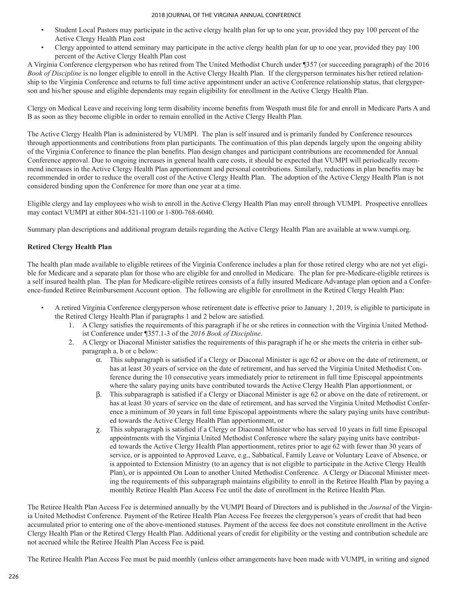- Student Local Pastors may participate in the active clergy health plan for up to one year, provided they pay 100 percent of the Active Clergy Health Plan cost
- Clergy appointed to attend seminary may participate in the active clergy health plan for up to one year, provided they pay 100 percent of the Active Clergy Health Plan cost

A Virginia Conference clergyperson who has retired from The United Methodist Church under ¶357 (or succeeding paragraph) of the 2016 *Book of Discipline* is no longer eligible to enroll in the Active Clergy Health Plan. If the clergyperson terminates his/her retired relationship to the Virginia Conference and returns to full time active appointment under an active Conference relationship status, that clergyperson and his/her spouse and eligible dependents may regain eligibility for enrollment in the Active Clergy Health Plan.

Clergy on Medical Leave and receiving long term disability income benefits from Wespath must file for and enroll in Medicare Parts A and B as soon as they become eligible in order to remain enrolled in the Active Clergy Health Plan.

The Active Clergy Health Plan is administered by VUMPI. The plan is self insured and is primarily funded by Conference resources through apportionments and contributions from plan participants. The continuation of this plan depends largely upon the ongoing ability of the Virginia Conference to finance the plan benefits. Plan design changes and participant contributions are recommended for Annual Conference approval. Due to ongoing increases in general health care costs, it should be expected that VUMPI will periodically recommend increases in the Active Clergy Health Plan apportionment and personal contributions. Similarly, reductions in plan benefits may be recommended in order to reduce the overall cost of the Active Clergy Health Plan. The adoption of the Active Clergy Health Plan is not considered binding upon the Conference for more than one year at a time.

Eligible clergy and lay employees who wish to enroll in the Active Clergy Health Plan may enroll through VUMPI. Prospective enrollees may contact VUMPI at either 804-521-1100 or 1-800-768-6040.

Summary plan descriptions and additional program details regarding the Active Clergy Health Plan are available at www.vumpi.org.

## **Retired Clergy Health Plan**

The health plan made available to eligible retirees of the Virginia Conference includes a plan for those retired clergy who are not yet eligible for Medicare and a separate plan for those who are eligible for and enrolled in Medicare. The plan for pre-Medicare-eligible retirees is a self insured health plan. The plan for Medicare-eligible retirees consists of a fully insured Medicare Advantage plan option and a Conference-funded Retiree Reimbursement Account option. The following are eligible for enrollment in the Retired Clergy Health Plan:

- A retired Virginia Conference clergyperson whose retirement date is effective prior to January 1, 2019, is eligible to participate in the Retired Clergy Health Plan if paragraphs 1 and 2 below are satisfied.
	- 1. A Clergy satisfies the requirements of this paragraph if he or she retires in connection with the Virginia United Methodist Conference under ¶357.1-3 of the *2016 Book of Discipline*.
	- 2. A Clergy or Diaconal Minister satisfies the requirements of this paragraph if he or she meets the criteria in either subparagraph a, b or c below:
		- $\alpha$ . This subparagraph is satisfied if a Clergy or Diaconal Minister is age 62 or above on the date of retirement, or has at least 30 years of service on the date of retirement, and has served the Virginia United Methodist Conference during the 10 consecutive years immediately prior to retirement in full time Episcopal appointments where the salary paying units have contributed towards the Active Clergy Health Plan apportionment, or
		- b. This subparagraph is satisfied if a Clergy or Diaconal Minister is age 62 or above on the date of retirement, or has at least 30 years of service on the date of retirement, and has served the Virginia United Methodist Conference a minimum of 30 years in full time Episcopal appointments where the salary paying units have contributed towards the Active Clergy Health Plan apportionment, or
		- $\chi$ . This subparagraph is satisfied if a Clergy or Diaconal Minister who has served 10 years in full time Episcopal appointments with the Virginia United Methodist Conference where the salary paying units have contributed towards the Active Clergy Health Plan apportionment, retires prior to age 62 with fewer than 30 years of service, or is appointed to Approved Leave, e.g., Sabbatical, Family Leave or Voluntary Leave of Absence, or is appointed to Extension Ministry (to an agency that is not eligible to participate in the Active Clergy Health Plan), or is appointed On Loan to another United Methodist Conference. A Clergy or Diaconal Minister meeting the requirements of this subparagraph maintains eligibility to enroll in the Retiree Health Plan by paying a monthly Retiree Health Plan Access Fee until the date of enrollment in the Retiree Health Plan.

The Retiree Health Plan Access Fee is determined annually by the VUMPI Board of Directors and is published in the *Journal* of the Virginia United Methodist Conference. Payment of the Retiree Health Plan Access Fee freezes the clergyperson's years of credit that had been accumulated prior to entering one of the above-mentioned statuses. Payment of the access fee does not constitute enrollment in the Active Clergy Health Plan or the Retired Clergy Health Plan. Additional years of credit for eligibility or the vesting and contribution schedule are not accrued while the Retiree Health Plan Access Fee is paid.

The Retiree Health Plan Access Fee must be paid monthly (unless other arrangements have been made with VUMPI, in writing and signed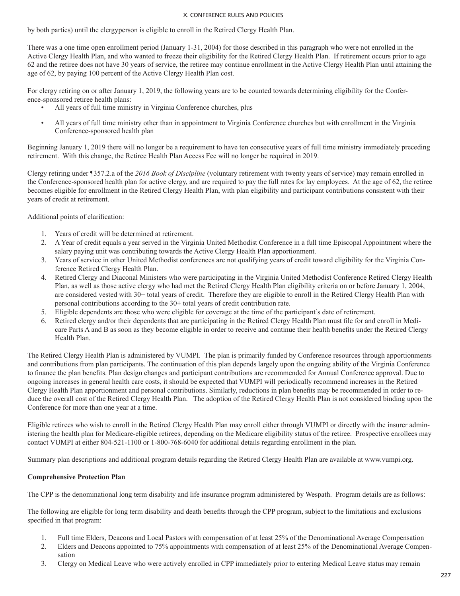by both parties) until the clergyperson is eligible to enroll in the Retired Clergy Health Plan.

There was a one time open enrollment period (January 1-31, 2004) for those described in this paragraph who were not enrolled in the Active Clergy Health Plan, and who wanted to freeze their eligibility for the Retired Clergy Health Plan. If retirement occurs prior to age 62 and the retiree does not have 30 years of service, the retiree may continue enrollment in the Active Clergy Health Plan until attaining the age of 62, by paying 100 percent of the Active Clergy Health Plan cost.

For clergy retiring on or after January 1, 2019, the following years are to be counted towards determining eligibility for the Conference-sponsored retiree health plans:

- All years of full time ministry in Virginia Conference churches, plus
- All years of full time ministry other than in appointment to Virginia Conference churches but with enrollment in the Virginia Conference-sponsored health plan

Beginning January 1, 2019 there will no longer be a requirement to have ten consecutive years of full time ministry immediately preceding retirement. With this change, the Retiree Health Plan Access Fee will no longer be required in 2019.

Clergy retiring under ¶357.2.a of the *2016 Book of Discipline* (voluntary retirement with twenty years of service) may remain enrolled in the Conference-sponsored health plan for active clergy, and are required to pay the full rates for lay employees. At the age of 62, the retiree becomes eligible for enrollment in the Retired Clergy Health Plan, with plan eligibility and participant contributions consistent with their years of credit at retirement.

Additional points of clarification:

- 1. Years of credit will be determined at retirement.
- 2. A Year of credit equals a year served in the Virginia United Methodist Conference in a full time Episcopal Appointment where the salary paying unit was contributing towards the Active Clergy Health Plan apportionment.
- 3. Years of service in other United Methodist conferences are not qualifying years of credit toward eligibility for the Virginia Conference Retired Clergy Health Plan.
- 4. Retired Clergy and Diaconal Ministers who were participating in the Virginia United Methodist Conference Retired Clergy Health Plan, as well as those active clergy who had met the Retired Clergy Health Plan eligibility criteria on or before January 1, 2004, are considered vested with 30+ total years of credit. Therefore they are eligible to enroll in the Retired Clergy Health Plan with personal contributions according to the 30+ total years of credit contribution rate.
- 5. Eligible dependents are those who were eligible for coverage at the time of the participant's date of retirement.
- 6. Retired clergy and/or their dependents that are participating in the Retired Clergy Health Plan must file for and enroll in Medicare Parts A and B as soon as they become eligible in order to receive and continue their health benefits under the Retired Clergy Health Plan.

The Retired Clergy Health Plan is administered by VUMPI. The plan is primarily funded by Conference resources through apportionments and contributions from plan participants. The continuation of this plan depends largely upon the ongoing ability of the Virginia Conference to finance the plan benefits. Plan design changes and participant contributions are recommended for Annual Conference approval. Due to ongoing increases in general health care costs, it should be expected that VUMPI will periodically recommend increases in the Retired Clergy Health Plan apportionment and personal contributions. Similarly, reductions in plan benefits may be recommended in order to reduce the overall cost of the Retired Clergy Health Plan. The adoption of the Retired Clergy Health Plan is not considered binding upon the Conference for more than one year at a time.

Eligible retirees who wish to enroll in the Retired Clergy Health Plan may enroll either through VUMPI or directly with the insurer administering the health plan for Medicare-eligible retirees, depending on the Medicare eligibility status of the retiree. Prospective enrollees may contact VUMPI at either 804-521-1100 or 1-800-768-6040 for additional details regarding enrollment in the plan.

Summary plan descriptions and additional program details regarding the Retired Clergy Health Plan are available at www.vumpi.org.

## **Comprehensive Protection Plan**

The CPP is the denominational long term disability and life insurance program administered by Wespath. Program details are as follows:

The following are eligible for long term disability and death benefits through the CPP program, subject to the limitations and exclusions specified in that program:

- 1. Full time Elders, Deacons and Local Pastors with compensation of at least 25% of the Denominational Average Compensation
- 2. Elders and Deacons appointed to 75% appointments with compensation of at least 25% of the Denominational Average Compensation
- 3. Clergy on Medical Leave who were actively enrolled in CPP immediately prior to entering Medical Leave status may remain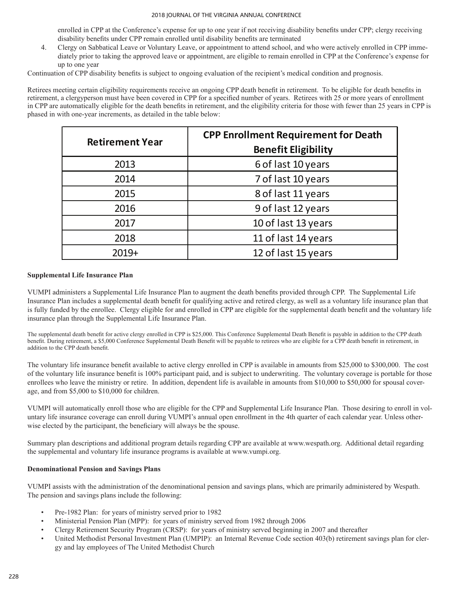enrolled in CPP at the Conference's expense for up to one year if not receiving disability benefits under CPP; clergy receiving disability benefits under CPP remain enrolled until disability benefits are terminated

4. Clergy on Sabbatical Leave or Voluntary Leave, or appointment to attend school, and who were actively enrolled in CPP immediately prior to taking the approved leave or appointment, are eligible to remain enrolled in CPP at the Conference's expense for up to one year

Continuation of CPP disability benefits is subject to ongoing evaluation of the recipient's medical condition and prognosis.

Retirees meeting certain eligibility requirements receive an ongoing CPP death benefit in retirement. To be eligible for death benefits in retirement, a clergyperson must have been covered in CPP for a specified number of years. Retirees with 25 or more years of enrollment in CPP are automatically eligible for the death benefits in retirement, and the eligibility criteria for those with fewer than 25 years in CPP is phased in with one-year increments, as detailed in the table below:

| <b>Retirement Year</b> | <b>CPP Enrollment Requirement for Death</b><br><b>Benefit Eligibility</b> |
|------------------------|---------------------------------------------------------------------------|
| 2013                   | 6 of last 10 years                                                        |
| 2014                   | 7 of last 10 years                                                        |
| 2015                   | 8 of last 11 years                                                        |
| 2016                   | 9 of last 12 years                                                        |
| 2017                   | 10 of last 13 years                                                       |
| 2018                   | 11 of last 14 years                                                       |
| $2019+$                | 12 of last 15 years                                                       |

### **Supplemental Life Insurance Plan**

VUMPI administers a Supplemental Life Insurance Plan to augment the death benefits provided through CPP. The Supplemental Life Insurance Plan includes a supplemental death benefit for qualifying active and retired clergy, as well as a voluntary life insurance plan that is fully funded by the enrollee. Clergy eligible for and enrolled in CPP are eligible for the supplemental death benefit and the voluntary life insurance plan through the Supplemental Life Insurance Plan.

The supplemental death benefit for active clergy enrolled in CPP is \$25,000. This Conference Supplemental Death Benefit is payable in addition to the CPP death benefit. During retirement, a \$5,000 Conference Supplemental Death Benefit will be payable to retirees who are eligible for a CPP death benefit in retirement, in addition to the CPP death benefit.

The voluntary life insurance benefit available to active clergy enrolled in CPP is available in amounts from \$25,000 to \$300,000. The cost of the voluntary life insurance benefit is 100% participant paid, and is subject to underwriting. The voluntary coverage is portable for those enrollees who leave the ministry or retire. In addition, dependent life is available in amounts from \$10,000 to \$50,000 for spousal coverage, and from \$5,000 to \$10,000 for children.

VUMPI will automatically enroll those who are eligible for the CPP and Supplemental Life Insurance Plan. Those desiring to enroll in voluntary life insurance coverage can enroll during VUMPI's annual open enrollment in the 4th quarter of each calendar year. Unless otherwise elected by the participant, the beneficiary will always be the spouse.

Summary plan descriptions and additional program details regarding CPP are available at www.wespath.org. Additional detail regarding the supplemental and voluntary life insurance programs is available at www.vumpi.org.

### **Denominational Pension and Savings Plans**

VUMPI assists with the administration of the denominational pension and savings plans, which are primarily administered by Wespath. The pension and savings plans include the following:

- Pre-1982 Plan: for years of ministry served prior to 1982
- Ministerial Pension Plan (MPP): for years of ministry served from 1982 through 2006
- Clergy Retirement Security Program (CRSP): for years of ministry served beginning in 2007 and thereafter
- United Methodist Personal Investment Plan (UMPIP): an Internal Revenue Code section 403(b) retirement savings plan for clergy and lay employees of The United Methodist Church